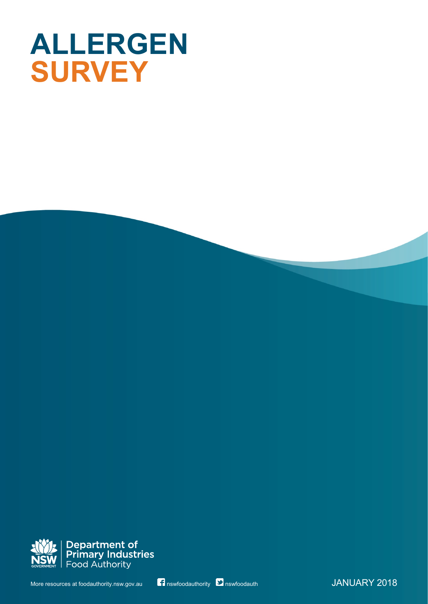# **ALLERGEN SURVEY**



More resources at foodauthority.nsw.gov.au nswfoodauthority **Democrational Institute of the UANUARY 2018**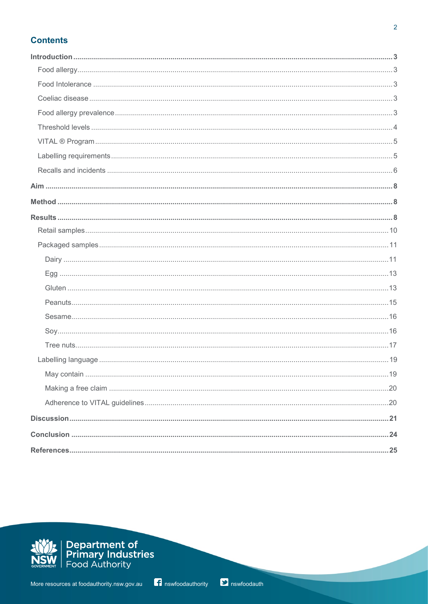# **Contents**

| 19 |
|----|
|    |
|    |
|    |
|    |
|    |
|    |

<u>i</u>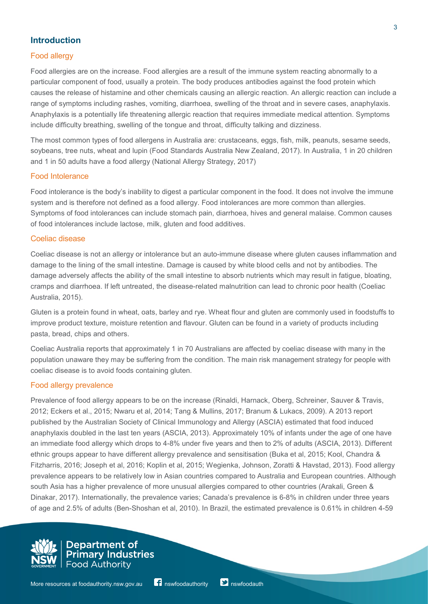# **Introduction**

## Food allergy

Food allergies are on the increase. Food allergies are a result of the immune system reacting abnormally to a particular component of food, usually a protein. The body produces antibodies against the food protein which causes the release of histamine and other chemicals causing an allergic reaction. An allergic reaction can include a range of symptoms including rashes, vomiting, diarrhoea, swelling of the throat and in severe cases, anaphylaxis. Anaphylaxis is a potentially life threatening allergic reaction that requires immediate medical attention. Symptoms include difficulty breathing, swelling of the tongue and throat, difficulty talking and dizziness.

The most common types of food allergens in Australia are: crustaceans, eggs, fish, milk, peanuts, sesame seeds, soybeans, tree nuts, wheat and lupin (Food Standards Australia New Zealand, 2017). In Australia, 1 in 20 children and 1 in 50 adults have a food allergy (National Allergy Strategy, 2017)

## Food Intolerance

Food intolerance is the body's inability to digest a particular component in the food. It does not involve the immune system and is therefore not defined as a food allergy. Food intolerances are more common than allergies. Symptoms of food intolerances can include stomach pain, diarrhoea, hives and general malaise. Common causes of food intolerances include lactose, milk, gluten and food additives.

#### Coeliac disease

Coeliac disease is not an allergy or intolerance but an auto-immune disease where gluten causes inflammation and damage to the lining of the small intestine. Damage is caused by white blood cells and not by antibodies. The damage adversely affects the ability of the small intestine to absorb nutrients which may result in fatigue, bloating, cramps and diarrhoea. If left untreated, the disease-related malnutrition can lead to chronic poor health (Coeliac Australia, 2015).

Gluten is a protein found in wheat, oats, barley and rye. Wheat flour and gluten are commonly used in foodstuffs to improve product texture, moisture retention and flavour. Gluten can be found in a variety of products including pasta, bread, chips and others.

Coeliac Australia reports that approximately 1 in 70 Australians are affected by coeliac disease with many in the population unaware they may be suffering from the condition. The main risk management strategy for people with coeliac disease is to avoid foods containing gluten.

#### Food allergy prevalence

Prevalence of food allergy appears to be on the increase (Rinaldi, Harnack, Oberg, Schreiner, Sauver & Travis, 2012; Eckers et al., 2015; Nwaru et al, 2014; Tang & Mullins, 2017; Branum & Lukacs, 2009). A 2013 report published by the Australian Society of Clinical Immunology and Allergy (ASCIA) estimated that food induced anaphylaxis doubled in the last ten years (ASCIA, 2013). Approximately 10% of infants under the age of one have an immediate food allergy which drops to 4-8% under five years and then to 2% of adults (ASCIA, 2013). Different ethnic groups appear to have different allergy prevalence and sensitisation (Buka et al, 2015; Kool, Chandra & Fitzharris, 2016; Joseph et al, 2016; Koplin et al, 2015; Wegienka, Johnson, Zoratti & Havstad, 2013). Food allergy prevalence appears to be relatively low in Asian countries compared to Australia and European countries. Although south Asia has a higher prevalence of more unusual allergies compared to other countries (Arakali, Green & Dinakar, 2017). Internationally, the prevalence varies; Canada's prevalence is 6-8% in children under three years of age and 2.5% of adults (Ben-Shoshan et al, 2010). In Brazil, the estimated prevalence is 0.61% in children 4-59

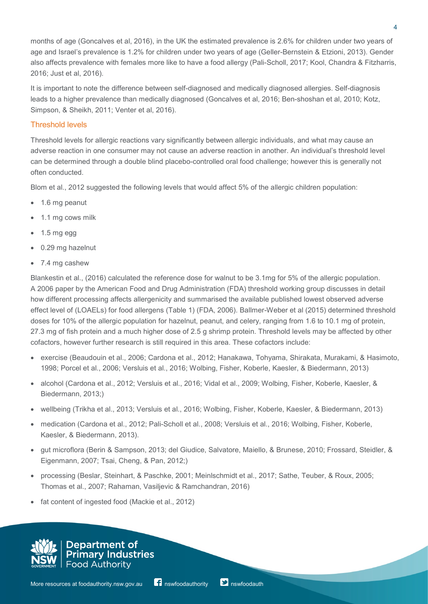months of age (Goncalves et al, 2016), in the UK the estimated prevalence is 2.6% for children under two years of age and Israel's prevalence is 1.2% for children under two years of age (Geller-Bernstein & Etzioni, 2013). Gender also affects prevalence with females more like to have a food allergy (Pali-Scholl, 2017; Kool, Chandra & Fitzharris, 2016; Just et al, 2016).

It is important to note the difference between self-diagnosed and medically diagnosed allergies. Self-diagnosis leads to a higher prevalence than medically diagnosed (Goncalves et al, 2016; Ben-shoshan et al, 2010; Kotz, Simpson, & Sheikh, 2011; Venter et al, 2016).

## Threshold levels

Threshold levels for allergic reactions vary significantly between allergic individuals, and what may cause an adverse reaction in one consumer may not cause an adverse reaction in another. An individual's threshold level can be determined through a double blind placebo-controlled oral food challenge; however this is generally not often conducted.

Blom et al., 2012 suggested the following levels that would affect 5% of the allergic children population:

- 1.6 mg peanut
- 1.1 mg cows milk
- 1.5 mg egg
- 0.29 mg hazelnut
- 7.4 mg cashew

Blankestin et al., (2016) calculated the reference dose for walnut to be 3.1mg for 5% of the allergic population. A 2006 paper by the American Food and Drug Administration (FDA) threshold working group discusses in detail how different processing affects allergenicity and summarised the available published lowest observed adverse effect level of (LOAELs) for food allergens (Table 1) (FDA, 2006). Ballmer-Weber et al (2015) determined threshold doses for 10% of the allergic population for hazelnut, peanut, and celery, ranging from 1.6 to 10.1 mg of protein, 27.3 mg of fish protein and a much higher dose of 2.5 g shrimp protein. Threshold levels may be affected by other cofactors, however further research is still required in this area. These cofactors include:

- exercise (Beaudouin et al., 2006; Cardona et al., 2012; Hanakawa, Tohyama, Shirakata, Murakami, & Hasimoto, 1998; Porcel et al., 2006; Versluis et al., 2016; Wolbing, Fisher, Koberle, Kaesler, & Biedermann, 2013)
- alcohol (Cardona et al., 2012; Versluis et al., 2016; Vidal et al., 2009; Wolbing, Fisher, Koberle, Kaesler, & Biedermann, 2013;)
- wellbeing (Trikha et al., 2013; Versluis et al., 2016; Wolbing, Fisher, Koberle, Kaesler, & Biedermann, 2013)
- medication (Cardona et al., 2012; Pali-Scholl et al., 2008; Versluis et al., 2016; Wolbing, Fisher, Koberle, Kaesler, & Biedermann, 2013).
- gut microflora (Berin & Sampson, 2013; del Giudice, Salvatore, Maiello, & Brunese, 2010; Frossard, Steidler, & Eigenmann, 2007; Tsai, Cheng, & Pan, 2012;)
- processing (Beslar, Steinhart, & Paschke, 2001; Meinlschmidt et al., 2017; Sathe, Teuber, & Roux, 2005; Thomas et al., 2007; Rahaman, Vasiljevic & Ramchandran, 2016)
- fat content of ingested food (Mackie et al., 2012)



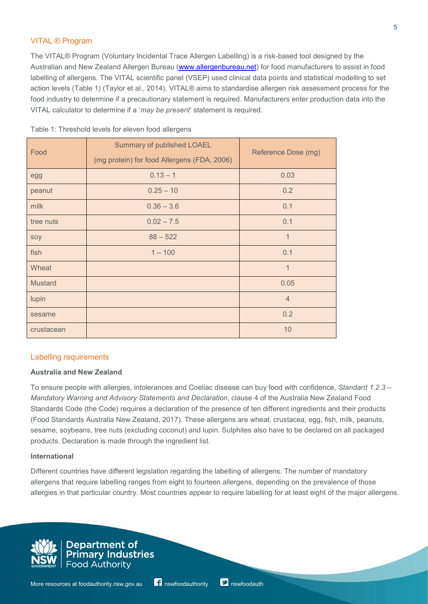## VITAL ® Program

The VITAL® Program (Voluntary Incidental Trace Allergen Labelling) is a risk-based tool designed by the Australian and New Zealand Allergen Bureau [\(www.allergenbureau.net\)](http://www.allergenbureau.net/) for food manufacturers to assist in food labelling of allergens. The VITAL scientific panel (VSEP) used clinical data points and statistical modelling to set action levels (Table 1) (Taylor et al., 2014). VITAL® aims to standardise allergen risk assessment process for the food industry to determine if a precautionary statement is required. Manufacturers enter production data into the VITAL calculator to determine if a '*may be present*' statement is required.

| Food           | <b>Summary of published LOAEL</b><br>(mg protein) for food Allergens (FDA, 2006) | Reference Dose (mg) |
|----------------|----------------------------------------------------------------------------------|---------------------|
| egg            | $0.13 - 1$                                                                       | 0.03                |
| peanut         | $0.25 - 10$                                                                      | 0.2                 |
| milk           | $0.36 - 3.6$                                                                     | 0.1                 |
| tree nuts      | $0.02 - 7.5$                                                                     | 0.1                 |
| soy            | $88 - 522$                                                                       | $\mathbf 1$         |
| fish           | $1 - 100$                                                                        | 0.1                 |
| Wheat          |                                                                                  | $\mathbf 1$         |
| <b>Mustard</b> |                                                                                  | 0.05                |
| lupin          |                                                                                  | $\overline{4}$      |
| sesame         |                                                                                  | 0.2                 |
| crustacean     |                                                                                  | 10                  |

## Labelling requirements

#### **Australia and New Zealand**

To ensure people with allergies, intolerances and Coeliac disease can buy food with confidence, *Standard 1.2.3 – Mandatory Warning and Advisory Statements and Declaration*, clause 4 of the Australia New Zealand Food Standards Code (the Code) requires a declaration of the presence of ten different ingredients and their products (Food Standards Australia New Zealand, 2017). These allergens are wheat, crustacea, egg, fish, milk, peanuts, sesame, soybeans, tree nuts (excluding coconut) and lupin. Sulphites also have to be declared on all packaged products. Declaration is made through the ingredient list.

#### **International**

Different countries have different legislation regarding the labelling of allergens. The number of mandatory allergens that require labelling ranges from eight to fourteen allergens, depending on the prevalence of those allergies in that particular country. Most countries appear to require labelling for at least eight of the major allergens.



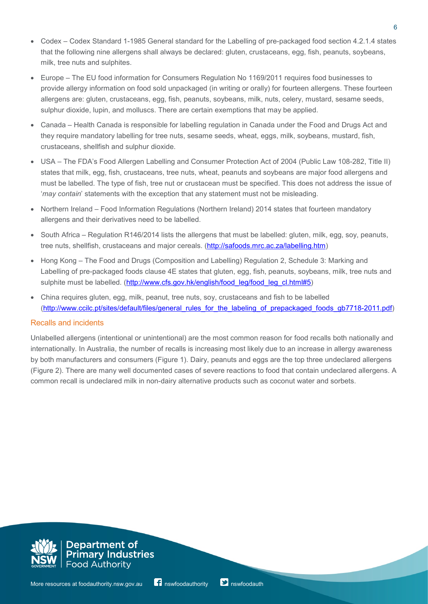- Codex Codex Standard 1-1985 General standard for the Labelling of pre-packaged food section 4.2.1.4 states that the following nine allergens shall always be declared: gluten, crustaceans, egg, fish, peanuts, soybeans, milk, tree nuts and sulphites.
- Europe The EU food information for Consumers Regulation No 1169/2011 requires food businesses to provide allergy information on food sold unpackaged (in writing or orally) for fourteen allergens. These fourteen allergens are: gluten, crustaceans, egg, fish, peanuts, soybeans, milk, nuts, celery, mustard, sesame seeds, sulphur dioxide, lupin, and molluscs. There are certain exemptions that may be applied.
- Canada Health Canada is responsible for labelling regulation in Canada under the Food and Drugs Act and they require mandatory labelling for tree nuts, sesame seeds, wheat, eggs, milk, soybeans, mustard, fish, crustaceans, shellfish and sulphur dioxide.
- USA The FDA's Food Allergen Labelling and Consumer Protection Act of 2004 (Public Law 108-282, Title II) states that milk, egg, fish, crustaceans, tree nuts, wheat, peanuts and soybeans are major food allergens and must be labelled. The type of fish, tree nut or crustacean must be specified. This does not address the issue of '*may contain*' statements with the exception that any statement must not be misleading.
- Northern Ireland Food Information Regulations (Northern Ireland) 2014 states that fourteen mandatory allergens and their derivatives need to be labelled.
- South Africa Regulation R146/2014 lists the allergens that must be labelled: gluten, milk, egg, soy, peanuts, tree nuts, shellfish, crustaceans and major cereals. [\(http://safoods.mrc.ac.za/labelling.htm\)](http://safoods.mrc.ac.za/labelling.htm)
- Hong Kong The Food and Drugs (Composition and Labelling) Regulation 2, Schedule 3: Marking and Labelling of pre-packaged foods clause 4E states that gluten, egg, fish, peanuts, soybeans, milk, tree nuts and sulphite must be labelled. [\(http://www.cfs.gov.hk/english/food\\_leg/food\\_leg\\_cl.html#5\)](http://www.cfs.gov.hk/english/food_leg/food_leg_cl.html#5)
- China requires gluten, egg, milk, peanut, tree nuts, soy, crustaceans and fish to be labelled [\(http://www.ccilc.pt/sites/default/files/general\\_rules\\_for\\_the\\_labeling\\_of\\_prepackaged\\_foods\\_gb7718-2011.pdf\)](http://www.ccilc.pt/sites/default/files/general_rules_for_the_labeling_of_prepackaged_foods_gb7718-2011.pdf)

## Recalls and incidents

Unlabelled allergens (intentional or unintentional) are the most common reason for food recalls both nationally and internationally. In Australia, the number of recalls is increasing most likely due to an increase in allergy awareness by both manufacturers and consumers (Figure 1). Dairy, peanuts and eggs are the top three undeclared allergens (Figure 2). There are many well documented cases of severe reactions to food that contain undeclared allergens. A common recall is undeclared milk in non-dairy alternative products such as coconut water and sorbets.

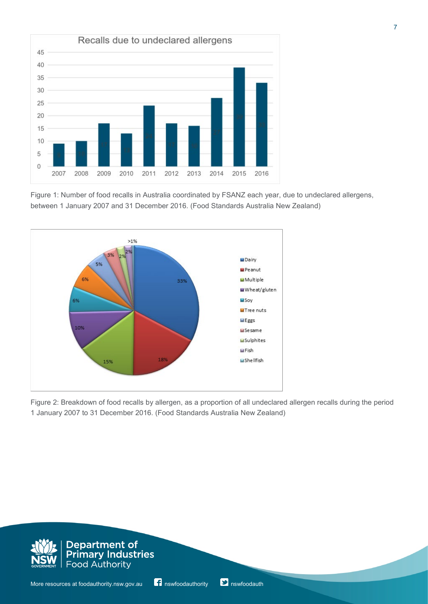

Figure 1: Number of food recalls in Australia coordinated by FSANZ each year, due to undeclared allergens, between 1 January 2007 and 31 December 2016. (Food Standards Australia New Zealand)



Figure 2: Breakdown of food recalls by allergen, as a proportion of all undeclared allergen recalls during the period 1 January 2007 to 31 December 2016. (Food Standards Australia New Zealand)

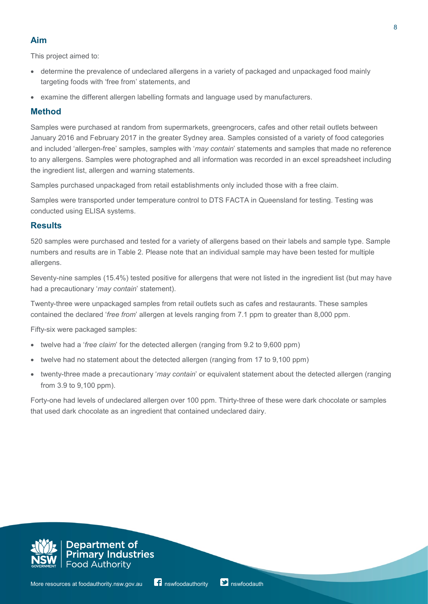# **Aim**

This project aimed to:

- determine the prevalence of undeclared allergens in a variety of packaged and unpackaged food mainly targeting foods with 'free from' statements, and
- examine the different allergen labelling formats and language used by manufacturers.

# **Method**

Samples were purchased at random from supermarkets, greengrocers, cafes and other retail outlets between January 2016 and February 2017 in the greater Sydney area. Samples consisted of a variety of food categories and included 'allergen-free' samples, samples with '*may contain*' statements and samples that made no reference to any allergens. Samples were photographed and all information was recorded in an excel spreadsheet including the ingredient list, allergen and warning statements.

Samples purchased unpackaged from retail establishments only included those with a free claim.

Samples were transported under temperature control to DTS FACTA in Queensland for testing. Testing was conducted using ELISA systems.

## **Results**

520 samples were purchased and tested for a variety of allergens based on their labels and sample type. Sample numbers and results are in Table 2. Please note that an individual sample may have been tested for multiple allergens.

Seventy-nine samples (15.4%) tested positive for allergens that were not listed in the ingredient list (but may have had a precautionary '*may contain*' statement).

Twenty-three were unpackaged samples from retail outlets such as cafes and restaurants. These samples contained the declared '*free from*' allergen at levels ranging from 7.1 ppm to greater than 8,000 ppm.

Fifty-six were packaged samples:

- twelve had a '*free claim*' for the detected allergen (ranging from 9.2 to 9,600 ppm)
- twelve had no statement about the detected allergen (ranging from 17 to 9,100 ppm)
- twenty-three made a precautionary '*may contain*' or equivalent statement about the detected allergen (ranging from 3.9 to 9,100 ppm).

Forty-one had levels of undeclared allergen over 100 ppm. Thirty-three of these were dark chocolate or samples that used dark chocolate as an ingredient that contained undeclared dairy.

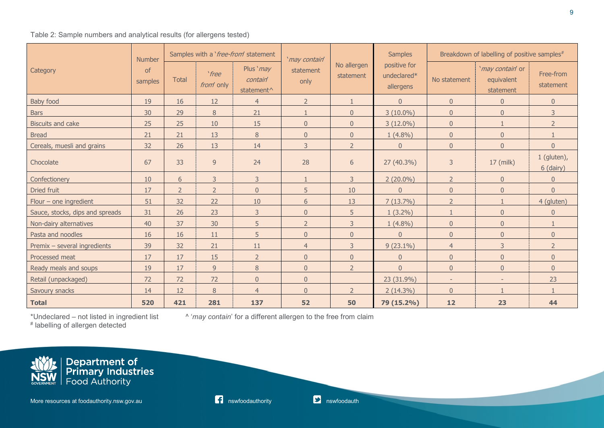## Table 2: Sample numbers and analytical results (for allergens tested)

|                                 | <b>Number</b> | Samples with a 'free-from' statement |                           |                                                 | 'may contain'     |                          | <b>Samples</b>                           | Breakdown of labelling of positive samples# |                                             |                            |  |
|---------------------------------|---------------|--------------------------------------|---------------------------|-------------------------------------------------|-------------------|--------------------------|------------------------------------------|---------------------------------------------|---------------------------------------------|----------------------------|--|
| Category                        | of<br>samples | <b>Total</b>                         | `free<br><i>from</i> only | Plus 'may<br>contain'<br>statement <sup>^</sup> | statement<br>only | No allergen<br>statement | positive for<br>undeclared*<br>allergens | No statement                                | 'may contain' or<br>equivalent<br>statement | Free-from<br>statement     |  |
| Baby food                       | 19            | 16                                   | 12                        | $\overline{4}$                                  | $2 \overline{ }$  |                          | $\overline{0}$                           | $\overline{0}$                              | $\overline{0}$                              | $\overline{0}$             |  |
| <b>Bars</b>                     | 30            | 29                                   | 8                         | 21                                              |                   | $\overline{0}$           | $3(10.0\%)$                              | $\overline{0}$                              | $\overline{0}$                              | 3                          |  |
| <b>Biscuits and cake</b>        | 25            | 25                                   | 10                        | 15                                              | $\overline{0}$    | $\overline{0}$           | $3(12.0\%)$                              | $\theta$                                    | $\mathbf{1}$                                | $\overline{2}$             |  |
| <b>Bread</b>                    | 21            | 21                                   | 13                        | 8                                               | $\overline{0}$    | $\overline{0}$           | $1(4.8\%)$                               | $\mathbf{0}$                                | $\overline{0}$                              |                            |  |
| Cereals, muesli and grains      | 32            | 26                                   | 13                        | 14                                              | 3                 | $\overline{2}$           | $\mathbf{0}$                             | $\mathbf{0}$                                | $\overline{0}$                              | $\overline{0}$             |  |
| Chocolate                       | 67            | 33                                   | $\overline{9}$            | 24                                              | 28                | $6\,$                    | 27 (40.3%)                               | 3                                           | 17 (milk)                                   | $1$ (gluten),<br>6 (dairy) |  |
| Confectionery                   | 10            | 6                                    | 3                         | 3                                               | $\mathbf{1}$      | 3                        | $2(20.0\%)$                              | $\overline{2}$                              | $\overline{0}$                              | $\overline{0}$             |  |
| Dried fruit                     | 17            | $\overline{2}$                       | $\overline{2}$            | $\overline{0}$                                  | 5                 | 10                       | $\overline{0}$                           | $\overline{0}$                              | $\overline{0}$                              | $\overline{0}$             |  |
| Flour $-$ one ingredient        | 51            | 32                                   | 22                        | 10                                              | 6                 | 13                       | 7(13.7%)                                 | $\overline{2}$                              | $\overline{1}$                              | 4 (gluten)                 |  |
| Sauce, stocks, dips and spreads | 31            | 26                                   | 23                        | 3                                               | $\overline{0}$    | 5                        | $1(3.2\%)$                               | $\mathbf{1}$                                | $\overline{0}$                              | $\overline{0}$             |  |
| Non-dairy alternatives          | 40            | 37                                   | 30                        | 5                                               | $2^{\circ}$       | 3                        | $1(4.8\%)$                               | $\mathbf{0}$                                | $\overline{0}$                              |                            |  |
| Pasta and noodles               | 16            | 16                                   | 11                        | 5                                               | $\overline{0}$    | $\overline{0}$           | $\overline{0}$                           | $\overline{0}$                              | $\overline{0}$                              | $\overline{0}$             |  |
| Premix - several ingredients    | 39            | 32                                   | 21                        | 11                                              | $\overline{4}$    | 3                        | $9(23.1\%)$                              | $\overline{4}$                              | 3                                           | $\overline{2}$             |  |
| Processed meat                  | 17            | 17                                   | 15                        | $\overline{2}$                                  | $\overline{0}$    | $\boldsymbol{0}$         | $\boldsymbol{0}$                         | $\overline{0}$                              | $\overline{0}$                              | $\overline{0}$             |  |
| Ready meals and soups           | 19            | 17                                   | 9                         | 8                                               | $\overline{0}$    | $\overline{2}$           | $\overline{0}$                           | $\overline{0}$                              | $\overline{0}$                              | $\overline{0}$             |  |
| Retail (unpackaged)             | 72            | 72                                   | 72                        | $\overline{0}$                                  | $\overline{0}$    |                          | 23 (31.9%)                               | $\sim$                                      | $\overline{\phantom{a}}$                    | 23                         |  |
| Savoury snacks                  | 14            | 12                                   | $\, 8$                    | $\overline{4}$                                  | $\overline{0}$    | $\overline{2}$           | $2(14.3\%)$                              | $\overline{0}$                              |                                             |                            |  |
| <b>Total</b>                    | 520           | 421                                  | 281                       | 137                                             | 52                | 50                       | 79 (15.2%)                               | 12                                          | 23                                          | 44                         |  |

\*Undeclared ‒ not listed in ingredient list ^ '*may contain*' for a different allergen to the free from claim

# labelling of allergen detected

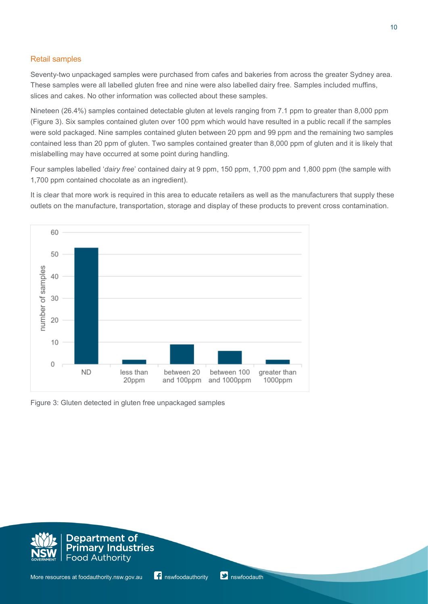## Retail samples

Seventy-two unpackaged samples were purchased from cafes and bakeries from across the greater Sydney area. These samples were all labelled gluten free and nine were also labelled dairy free. Samples included muffins, slices and cakes. No other information was collected about these samples.

Nineteen (26.4%) samples contained detectable gluten at levels ranging from 7.1 ppm to greater than 8,000 ppm (Figure 3). Six samples contained gluten over 100 ppm which would have resulted in a public recall if the samples were sold packaged. Nine samples contained gluten between 20 ppm and 99 ppm and the remaining two samples contained less than 20 ppm of gluten. Two samples contained greater than 8,000 ppm of gluten and it is likely that mislabelling may have occurred at some point during handling.

Four samples labelled '*dairy free*' contained dairy at 9 ppm, 150 ppm, 1,700 ppm and 1,800 ppm (the sample with 1,700 ppm contained chocolate as an ingredient).

It is clear that more work is required in this area to educate retailers as well as the manufacturers that supply these outlets on the manufacture, transportation, storage and display of these products to prevent cross contamination.



Figure 3: Gluten detected in gluten free unpackaged samples

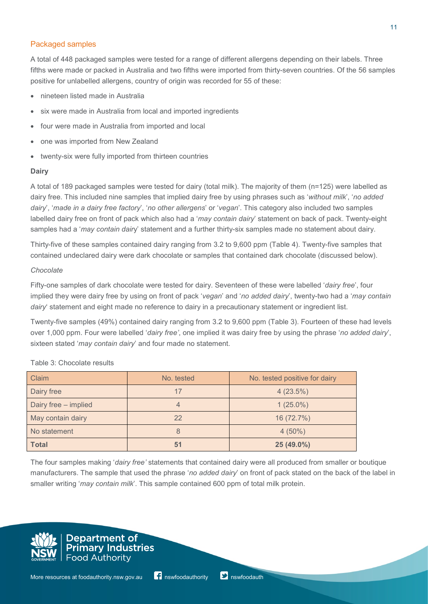## Packaged samples

A total of 448 packaged samples were tested for a range of different allergens depending on their labels. Three fifths were made or packed in Australia and two fifths were imported from thirty-seven countries. Of the 56 samples positive for unlabelled allergens, country of origin was recorded for 55 of these:

- nineteen listed made in Australia
- six were made in Australia from local and imported ingredients
- four were made in Australia from imported and local
- one was imported from New Zealand
- twenty-six were fully imported from thirteen countries

#### **Dairy**

A total of 189 packaged samples were tested for dairy (total milk). The majority of them (n=125) were labelled as dairy free. This included nine samples that implied dairy free by using phrases such as '*without milk*', '*no added dairy*', '*made in a dairy free factory*', '*no other allergens*' or '*vegan*'. This category also included two samples labelled dairy free on front of pack which also had a '*may contain dairy*' statement on back of pack. Twenty-eight samples had a '*may contain dair*y' statement and a further thirty-six samples made no statement about dairy.

Thirty-five of these samples contained dairy ranging from 3.2 to 9,600 ppm (Table 4). Twenty-five samples that contained undeclared dairy were dark chocolate or samples that contained dark chocolate (discussed below).

#### *Chocolate*

Fifty-one samples of dark chocolate were tested for dairy. Seventeen of these were labelled '*dairy free*', four implied they were dairy free by using on front of pack '*vegan*' and '*no added dairy*', twenty-two had a '*may contain dairy*' statement and eight made no reference to dairy in a precautionary statement or ingredient list.

Twenty-five samples (49%) contained dairy ranging from 3.2 to 9,600 ppm (Table 3). Fourteen of these had levels over 1,000 ppm. Four were labelled '*dairy free'*, one implied it was dairy free by using the phrase '*no added dairy*', sixteen stated '*may contain dairy*' and four made no statement.

| Claim                | No. tested | No. tested positive for dairy |
|----------------------|------------|-------------------------------|
| Dairy free           | 17         | 4(23.5%)                      |
| Dairy free - implied |            | $1(25.0\%)$                   |
| May contain dairy    | 22         | 16 (72.7%)                    |
| No statement         | 8          | $4(50\%)$                     |
| <b>Total</b>         | 51         | 25 (49.0%)                    |

#### Table 3: Chocolate results

The four samples making '*dairy free'* statements that contained dairy were all produced from smaller or boutique manufacturers. The sample that used the phrase '*no added dairy*' on front of pack stated on the back of the label in smaller writing '*may contain milk*'. This sample contained 600 ppm of total milk protein.

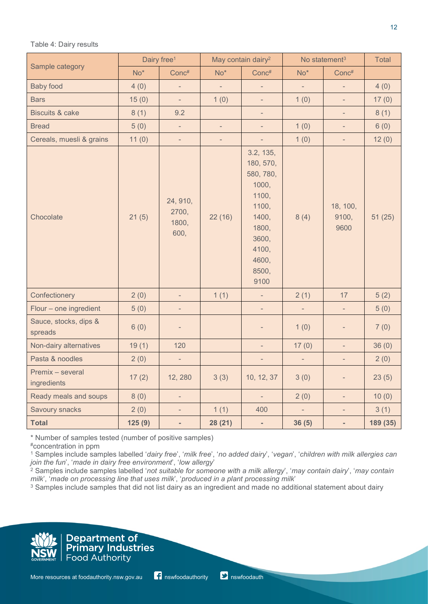Table 4: Dairy results

| Sample category                  |        | Dairy free <sup>1</sup>            |                          | May contain dairy <sup>2</sup>                                                                                               |                          | No statement <sup>3</sup> | <b>Total</b> |
|----------------------------------|--------|------------------------------------|--------------------------|------------------------------------------------------------------------------------------------------------------------------|--------------------------|---------------------------|--------------|
|                                  | $No*$  | Conc#                              | $No*$                    | Conc#                                                                                                                        | $No*$                    | Conc#                     |              |
| <b>Baby food</b>                 | 4(0)   | $\qquad \qquad -$                  | $\overline{\phantom{a}}$ | $\overline{\phantom{a}}$                                                                                                     | $\overline{\phantom{a}}$ | $\blacksquare$            | 4(0)         |
| <b>Bars</b>                      | 15(0)  | $\overline{\phantom{a}}$           | 1(0)                     | $\overline{\phantom{0}}$                                                                                                     | 1(0)                     | $\overline{\phantom{a}}$  | 17(0)        |
| <b>Biscuits &amp; cake</b>       | 8(1)   | 9.2                                |                          | $\overline{\phantom{0}}$                                                                                                     |                          | $\overline{\phantom{a}}$  | 8(1)         |
| <b>Bread</b>                     | 5(0)   | $\qquad \qquad -$                  | $\overline{\phantom{a}}$ | $\overline{\phantom{0}}$                                                                                                     | 1(0)                     | $\overline{\phantom{a}}$  | 6(0)         |
| Cereals, muesli & grains         | 11(0)  | $\qquad \qquad -$                  | $\overline{\phantom{a}}$ | ÷,                                                                                                                           | 1(0)                     | $\overline{\phantom{a}}$  | 12(0)        |
| Chocolate                        | 21(5)  | 24, 910,<br>2700,<br>1800,<br>600, | 22(16)                   | 3.2, 135,<br>180, 570,<br>580, 780,<br>1000,<br>1100,<br>1100,<br>1400,<br>1800,<br>3600,<br>4100,<br>4600,<br>8500,<br>9100 | 8(4)                     | 18, 100,<br>9100,<br>9600 | 51(25)       |
| Confectionery                    | 2(0)   | $\overline{\phantom{a}}$           | 1(1)                     | $\overline{\phantom{a}}$                                                                                                     | 2(1)                     | 17                        | 5(2)         |
| Flour - one ingredient           | 5(0)   | $\overline{\phantom{a}}$           |                          | $\overline{\phantom{a}}$                                                                                                     | $\qquad \qquad -$        | $\overline{\phantom{a}}$  | 5(0)         |
| Sauce, stocks, dips &<br>spreads | 6(0)   | -                                  |                          | -                                                                                                                            | 1(0)                     | $\overline{\phantom{a}}$  | 7(0)         |
| Non-dairy alternatives           | 19(1)  | 120                                |                          | $\overline{\phantom{0}}$                                                                                                     | 17(0)                    | $\blacksquare$            | 36(0)        |
| Pasta & noodles                  | 2(0)   | $\overline{\phantom{0}}$           |                          | $\overline{\phantom{0}}$                                                                                                     | $\qquad \qquad -$        | $\qquad \qquad -$         | 2(0)         |
| Premix - several<br>ingredients  | 17(2)  | 12, 280                            | 3(3)                     | 10, 12, 37                                                                                                                   | 3(0)                     | -                         | 23(5)        |
| Ready meals and soups            | 8(0)   | ÷,                                 |                          | $\overline{\phantom{0}}$                                                                                                     | 2(0)                     | $\overline{\phantom{a}}$  | 10(0)        |
| <b>Savoury snacks</b>            | 2(0)   | $\qquad \qquad -$                  | 1(1)                     | 400                                                                                                                          | $\overline{\phantom{0}}$ | $\overline{\phantom{a}}$  | 3(1)         |
| <b>Total</b>                     | 125(9) | $\overline{\phantom{0}}$           | 28 (21)                  | ۰                                                                                                                            | 36(5)                    | $\blacksquare$            | 189 (35)     |

\* Number of samples tested (number of positive samples)

#concentration in ppm

<sup>1</sup> Samples include samples labelled '*dairy free*', '*milk free*', '*no added dairy*', '*vegan*', '*children with milk allergies can join the fun*', '*made in dairy free environment*', '*low allergy*'

<sup>2</sup> Samples include samples labelled '*not suitable for someone with a milk allergy*', '*may contain dairy*', '*may contain milk*', '*made on processing line that uses milk*', '*produced in a plant processing milk*'

<sup>3</sup> Samples include samples that did not list dairy as an ingredient and made no additional statement about dairy

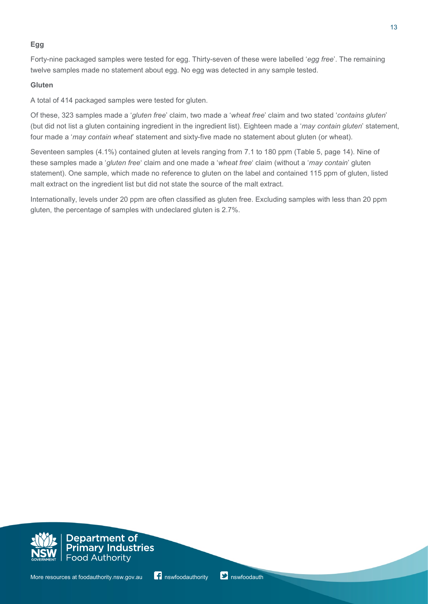## **Egg**

Forty-nine packaged samples were tested for egg. Thirty-seven of these were labelled '*egg free*'. The remaining twelve samples made no statement about egg. No egg was detected in any sample tested.

## **Gluten**

A total of 414 packaged samples were tested for gluten.

Of these, 323 samples made a '*gluten free*' claim, two made a '*wheat free*' claim and two stated '*contains gluten*' (but did not list a gluten containing ingredient in the ingredient list). Eighteen made a '*may contain gluten*' statement, four made a '*may contain wheat*' statement and sixty-five made no statement about gluten (or wheat).

Seventeen samples (4.1%) contained gluten at levels ranging from 7.1 to 180 ppm (Table 5, page 14). Nine of these samples made a '*gluten free*' claim and one made a '*wheat free*' claim (without a '*may contain*' gluten statement). One sample, which made no reference to gluten on the label and contained 115 ppm of gluten, listed malt extract on the ingredient list but did not state the source of the malt extract.

Internationally, levels under 20 ppm are often classified as gluten free. Excluding samples with less than 20 ppm gluten, the percentage of samples with undeclared gluten is 2.7%.



Department of *Pepartment of*<br>Primary Industries **Food Authority**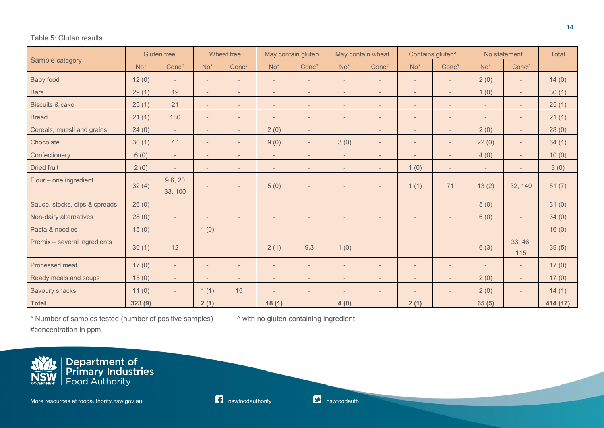#### Table 5: Gluten results

|                               | <b>Gluten</b> free |                          |                          | Wheat free               |                          | May contain gluten       |                          | May contain wheat<br>Contains gluten <sup>^</sup> |                              | No statement             |                          | <b>Total</b>             |          |
|-------------------------------|--------------------|--------------------------|--------------------------|--------------------------|--------------------------|--------------------------|--------------------------|---------------------------------------------------|------------------------------|--------------------------|--------------------------|--------------------------|----------|
| Sample category               | $No*$              | Conc#                    | $No*$                    | Conc#                    | $No*$                    | Conc#                    | $No*$                    | Conc#                                             | $No*$                        | Conc#                    | $No*$                    | Conc#                    |          |
| <b>Baby food</b>              | 12(0)              | $\sim$                   | $\overline{\phantom{a}}$ | $\overline{\phantom{a}}$ | $\overline{\phantom{a}}$ | $\qquad \qquad -$        | $\overline{\phantom{a}}$ | $\overline{\phantom{a}}$                          | $\overline{\phantom{a}}$     |                          | 2(0)                     | $\overline{\phantom{a}}$ | 14(0)    |
| <b>Bars</b>                   | 29(1)              | 19                       | $\overline{\phantom{a}}$ |                          | $\overline{\phantom{0}}$ | $\qquad \qquad -$        | $\overline{\phantom{0}}$ | $\qquad \qquad -$                                 | $\overline{\phantom{a}}$     |                          | 1(0)                     | $\overline{\phantom{a}}$ | 30(1)    |
| <b>Biscuits &amp; cake</b>    | 25(1)              | 21                       | $\overline{\phantom{a}}$ | $\overline{\phantom{a}}$ | $\overline{\phantom{a}}$ | $\qquad \qquad -$        | $\overline{\phantom{a}}$ | $\qquad \qquad -$                                 | $\overline{\phantom{a}}$     | $\overline{\phantom{a}}$ | $\sim$                   | $\overline{\phantom{a}}$ | 25(1)    |
| <b>Bread</b>                  | 21(1)              | 180                      | $\overline{\phantom{a}}$ | $\overline{\phantom{a}}$ | $\overline{\phantom{a}}$ | $\qquad \qquad -$        | $\overline{\phantom{a}}$ | $\overline{\phantom{a}}$                          | $\overline{\phantom{a}}$     | $\overline{\phantom{a}}$ | $\overline{\phantom{a}}$ | $\overline{\phantom{a}}$ | 21(1)    |
| Cereals, muesli and grains    | 24(0)              | $\overline{a}$           | $\sim$                   | $\overline{\phantom{a}}$ | 2(0)                     | $\sim$                   |                          | $\overline{\phantom{0}}$                          | $\sim$                       | $\overline{a}$           | 2(0)                     | $\overline{\phantom{a}}$ | 28(0)    |
| Chocolate                     | 30(1)              | 7.1                      | $\overline{a}$           | $\overline{\phantom{a}}$ | 9(0)                     | $\sim$                   | 3(0)                     | $\overline{\phantom{0}}$                          | $\sim$                       | $\overline{\phantom{a}}$ | 22(0)                    | $\overline{\phantom{a}}$ | 64(1)    |
| Confectionery                 | 6(0)               | $\sim$                   | $\overline{\phantom{a}}$ | $\overline{\phantom{a}}$ | $\overline{a}$           | $\overline{\phantom{0}}$ | $\overline{a}$           | $\overline{\phantom{0}}$                          | $\overline{\phantom{a}}$     |                          | 4(0)                     | $\overline{\phantom{a}}$ | 10(0)    |
| <b>Dried fruit</b>            | 2(0)               | $\overline{\phantom{a}}$ | $\sim$                   |                          | $\overline{\phantom{a}}$ | $\qquad \qquad -$        | $\overline{\phantom{a}}$ | $\overline{a}$                                    | 1(0)                         | $\overline{\phantom{a}}$ | $\sim$                   | $\overline{\phantom{a}}$ | 3(0)     |
| Flour - one ingredient        | 32(4)              | 9.6, 20<br>33, 100       |                          |                          | 5(0)                     | $\overline{\phantom{0}}$ | $\overline{\phantom{a}}$ | $\overline{\phantom{0}}$                          | 1(1)                         | 71                       | 13(2)                    | 32, 140                  | 51(7)    |
| Sauce, stocks, dips & spreads | 26(0)              | $\overline{\phantom{a}}$ | $\overline{\phantom{a}}$ |                          | $\overline{\phantom{a}}$ | $\qquad \qquad -$        | $\overline{\phantom{0}}$ |                                                   | $\overline{\phantom{a}}$     |                          | 5(0)                     | $\overline{\phantom{a}}$ | 31(0)    |
| Non-dairy alternatives        | 28(0)              | $\overline{\phantom{a}}$ | $\overline{\phantom{a}}$ | $\overline{\phantom{a}}$ | $\overline{\phantom{a}}$ | $\qquad \qquad -$        | $\overline{\phantom{a}}$ | $\qquad \qquad -$                                 | $\overline{\phantom{a}}$     | $\overline{\phantom{a}}$ | 6(0)                     | $\overline{\phantom{a}}$ | 34(0)    |
| Pasta & noodles               | 15(0)              | $\overline{\phantom{a}}$ | 1(0)                     | $\overline{\phantom{a}}$ | $\overline{a}$           | $\qquad \qquad -$        | $\qquad \qquad -$        | $\qquad \qquad -$                                 | $\qquad \qquad \blacksquare$ |                          | $\overline{\phantom{a}}$ |                          | 16(0)    |
| Premix - several ingredients  | 30(1)              | 12                       | $\overline{\phantom{a}}$ |                          | 2(1)                     | 9.3                      | 1(0)                     | $\overline{\phantom{a}}$                          | $\sim$                       | $\overline{\phantom{a}}$ | 6(3)                     | 33, 46,<br>115           | 39(5)    |
| Processed meat                | 17(0)              | $\overline{\phantom{a}}$ | $\overline{\phantom{a}}$ | $\overline{\phantom{a}}$ | $\overline{\phantom{a}}$ | $\qquad \qquad -$        | $\overline{\phantom{a}}$ |                                                   | $\overline{\phantom{a}}$     | $\overline{\phantom{a}}$ |                          | $\overline{\phantom{a}}$ | 17(0)    |
| Ready meals and soups         | 15(0)              | $\overline{\phantom{a}}$ | $\overline{\phantom{a}}$ | $\overline{\phantom{a}}$ | $\overline{\phantom{0}}$ | $\overline{\phantom{a}}$ | $\overline{\phantom{a}}$ | $\overline{\phantom{a}}$                          | $\overline{\phantom{a}}$     | $\overline{\phantom{a}}$ | 2(0)                     | $\overline{\phantom{a}}$ | 17(0)    |
| Savoury snacks                | 11(0)              | $\sim$                   | 1(1)                     | 15                       | $\overline{\phantom{a}}$ | $\overline{\phantom{a}}$ | $\overline{\phantom{a}}$ | $\overline{\phantom{a}}$                          | $\overline{\phantom{a}}$     | $\overline{\phantom{a}}$ | 2(0)                     | $\overline{\phantom{a}}$ | 14(1)    |
| <b>Total</b>                  | 323(9)             |                          | 2(1)                     |                          | 18(1)                    |                          | 4(0)                     |                                                   | 2(1)                         |                          | 65(5)                    |                          | 414 (17) |

\* Number of samples tested (number of positive samples)  $\overline{\phantom{a}}$  with no gluten containing ingredient

#concentration in ppm

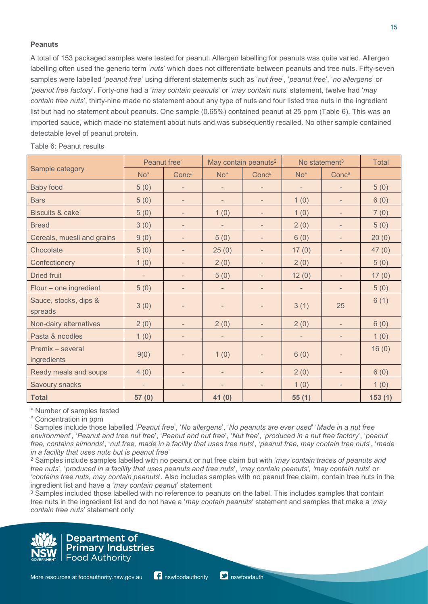#### **Peanuts**

A total of 153 packaged samples were tested for peanut. Allergen labelling for peanuts was quite varied. Allergen labelling often used the generic term '*nuts*' which does not differentiate between peanuts and tree nuts. Fifty-seven samples were labelled '*peanut free*' using different statements such as '*nut free*', '*peanut free*', '*no allergens*' or '*peanut free factory*'. Forty-one had a '*may contain peanuts*' or '*may contain nuts*' statement, twelve had '*may contain tree nuts*', thirty-nine made no statement about any type of nuts and four listed tree nuts in the ingredient list but had no statement about peanuts. One sample (0.65%) contained peanut at 25 ppm (Table 6). This was an imported sauce, which made no statement about nuts and was subsequently recalled. No other sample contained detectable level of peanut protein.

|                                  | Peanut free <sup>1</sup> |                              |                              | May contain peanuts <sup>2</sup> |                          | No statement $3$             |        |  |
|----------------------------------|--------------------------|------------------------------|------------------------------|----------------------------------|--------------------------|------------------------------|--------|--|
| Sample category                  | $No*$                    | Conc#                        | $No*$                        | Conc#                            | $No*$                    | Conc <sup>#</sup>            |        |  |
| <b>Baby food</b>                 | 5(0)                     | $\qquad \qquad -$            | $\qquad \qquad \blacksquare$ | -                                | $\overline{\phantom{a}}$ | $\qquad \qquad \blacksquare$ | 5(0)   |  |
| <b>Bars</b>                      | 5(0)                     | $\overline{\phantom{a}}$     |                              |                                  | 1(0)                     |                              | 6(0)   |  |
| <b>Biscuits &amp; cake</b>       | 5(0)                     | $\overline{\phantom{a}}$     | 1(0)                         | $\overline{\phantom{0}}$         | 1(0)                     |                              | 7(0)   |  |
| <b>Bread</b>                     | 3(0)                     | $\overline{\phantom{a}}$     | $\overline{\phantom{0}}$     | $\overline{\phantom{a}}$         | 2(0)                     | $\overline{\phantom{m}}$     | 5(0)   |  |
| Cereals, muesli and grains       | 9(0)                     | $\overline{\phantom{a}}$     | 5(0)                         | $\overline{\phantom{0}}$         | 6(0)                     | $\overline{\phantom{m}}$     | 20(0)  |  |
| Chocolate                        | 5(0)                     | $\overline{\phantom{0}}$     | 25(0)                        | $\overline{\phantom{a}}$         | 17(0)                    | $\overline{\phantom{m}}$     | 47(0)  |  |
| Confectionery                    | 1(0)                     | $\overline{\phantom{a}}$     | 2(0)                         | $\overline{\phantom{a}}$         | 2(0)                     | $\overline{\phantom{m}}$     | 5(0)   |  |
| <b>Dried fruit</b>               | -                        | $\overline{\phantom{a}}$     | 5(0)                         | $\overline{\phantom{a}}$         | 12(0)                    | $\overline{\phantom{a}}$     | 17(0)  |  |
| Flour - one ingredient           | 5(0)                     | $\qquad \qquad -$            | $\qquad \qquad \blacksquare$ |                                  | $\overline{\phantom{a}}$ | $\qquad \qquad \blacksquare$ | 5(0)   |  |
| Sauce, stocks, dips &<br>spreads | 3(0)                     | $\overline{\phantom{a}}$     | $\qquad \qquad \blacksquare$ | $\overline{\phantom{a}}$         | 3(1)                     | 25                           | 6(1)   |  |
| Non-dairy alternatives           | 2(0)                     | $\overline{\phantom{a}}$     | 2(0)                         |                                  | 2(0)                     |                              | 6(0)   |  |
| Pasta & noodles                  | 1(0)                     | $\overline{\phantom{a}}$     | $\overline{\phantom{m}}$     | $\overline{\phantom{a}}$         | $\overline{\phantom{a}}$ | $\overline{\phantom{a}}$     | 1(0)   |  |
| Premix - several<br>ingredients  | 9(0)                     | $\overline{\phantom{a}}$     | 1(0)                         | $\overline{\phantom{0}}$         | 6(0)                     |                              | 16(0)  |  |
| Ready meals and soups            | 4(0)                     | $\qquad \qquad \blacksquare$ | $\qquad \qquad \blacksquare$ |                                  | 2(0)                     | $\qquad \qquad \blacksquare$ | 6(0)   |  |
| Savoury snacks                   |                          | $\overline{\phantom{a}}$     |                              |                                  | 1(0)                     |                              | 1(0)   |  |
| <b>Total</b>                     | 57 (0)                   |                              | 41(0)                        |                                  | 55(1)                    |                              | 153(1) |  |

Table 6: Peanut results

\* Number of samples tested

# Concentration in ppm

1 Samples include those labelled '*Peanut free*', '*No allergens*', '*No peanuts are ever used*' '*Made in a nut free environment*', '*Peanut and tree nut free*', '*Peanut and nut free*', '*Nut free*', '*produced in a nut free factory*', '*peanut free, contains almonds*', '*nut free, made in a facility that uses tree nuts*', '*peanut free, may contain tree nuts*', '*made in a facility that uses nuts but is peanut free*'

<sup>2</sup> Samples include samples labelled with no peanut or nut free claim but with '*may contain traces of peanuts and tree nuts*', '*produced in a facility that uses peanuts and tree nuts*', '*may contain peanuts', 'may contain nuts*' or '*contains tree nuts, may contain peanuts*'. Also includes samples with no peanut free claim, contain tree nuts in the ingredient list and have a '*may contain peanut*' statement

<sup>3</sup> Samples included those labelled with no reference to peanuts on the label. This includes samples that contain tree nuts in the ingredient list and do not have a '*may contain peanuts*' statement and samples that make a '*may contain tree nuts*' statement only

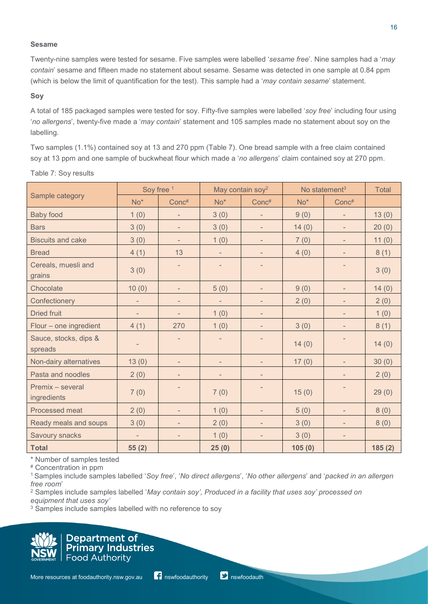#### **Sesame**

Twenty-nine samples were tested for sesame. Five samples were labelled '*sesame free*'. Nine samples had a '*may contain*' sesame and fifteen made no statement about sesame. Sesame was detected in one sample at 0.84 ppm (which is below the limit of quantification for the test). This sample had a '*may contain sesame*' statement.

#### **Soy**

A total of 185 packaged samples were tested for soy. Fifty-five samples were labelled '*soy free*' including four using '*no allergens*', twenty-five made a '*may contain*' statement and 105 samples made no statement about soy on the labelling.

Two samples (1.1%) contained soy at 13 and 270 ppm (Table 7). One bread sample with a free claim contained soy at 13 ppm and one sample of buckwheat flour which made a '*no allergens*' claim contained soy at 270 ppm.

|                                  | Soy free 1               |                              |                          | May contain soy <sup>2</sup><br>No statement <sup>3</sup> |        |                          | <b>Total</b> |
|----------------------------------|--------------------------|------------------------------|--------------------------|-----------------------------------------------------------|--------|--------------------------|--------------|
| Sample category                  | $No*$                    | Conc#                        | $No*$                    | Conc#                                                     | $No*$  | Conc#                    |              |
| <b>Baby food</b>                 | 1(0)                     | $\overline{\phantom{a}}$     | 3(0)                     | $\overline{\phantom{a}}$                                  | 9(0)   | $\overline{\phantom{0}}$ | 13(0)        |
| <b>Bars</b>                      | 3(0)                     | $\overline{\phantom{a}}$     | 3(0)                     | $\overline{\phantom{a}}$                                  | 14(0)  | $\overline{\phantom{m}}$ | 20(0)        |
| <b>Biscuits and cake</b>         | 3(0)                     | $\overline{\phantom{a}}$     | 1(0)                     | $\overline{\phantom{a}}$                                  | 7(0)   | $\overline{\phantom{a}}$ | 11(0)        |
| <b>Bread</b>                     | 4(1)                     | 13                           | $\overline{\phantom{a}}$ | $\overline{\phantom{a}}$                                  | 4(0)   | $\overline{\phantom{a}}$ | 8(1)         |
| Cereals, muesli and<br>grains    | 3(0)                     | -                            | $\overline{\phantom{a}}$ | $\overline{\phantom{a}}$                                  |        |                          | 3(0)         |
| Chocolate                        | 10(0)                    | $\overline{\phantom{a}}$     | 5(0)                     | $\overline{\phantom{a}}$                                  | 9(0)   | $\overline{\phantom{a}}$ | 14(0)        |
| Confectionery                    |                          | $\overline{\phantom{a}}$     | $\overline{\phantom{a}}$ | $\overline{\phantom{a}}$                                  | 2(0)   | $\overline{\phantom{m}}$ | 2(0)         |
| <b>Dried fruit</b>               | $\overline{\phantom{a}}$ | $\overline{\phantom{a}}$     | 1(0)                     | $\overline{\phantom{a}}$                                  |        | $\overline{\phantom{a}}$ | 1(0)         |
| Flour - one ingredient           | 4(1)                     | 270                          | 1(0)                     | $\overline{\phantom{a}}$                                  | 3(0)   | $\overline{\phantom{a}}$ | 8(1)         |
| Sauce, stocks, dips &<br>spreads |                          | $\overline{\phantom{a}}$     | $\overline{\phantom{a}}$ | $\overline{\phantom{a}}$                                  | 14(0)  | $\overline{\phantom{a}}$ | 14(0)        |
| Non-dairy alternatives           | 13(0)                    | $\overline{\phantom{a}}$     | $\overline{\phantom{a}}$ | $\overline{\phantom{a}}$                                  | 17(0)  | $\overline{\phantom{a}}$ | 30(0)        |
| Pasta and noodles                | 2(0)                     | $\overline{\phantom{a}}$     | $\overline{\phantom{a}}$ | $\overline{\phantom{a}}$                                  |        | $\overline{\phantom{a}}$ | 2(0)         |
| Premix - several<br>ingredients  | 7(0)                     | ÷                            | 7(0)                     | $\overline{\phantom{a}}$                                  | 15(0)  |                          | 29(0)        |
| Processed meat                   | 2(0)                     | $\overline{\phantom{a}}$     | 1(0)                     | $\overline{\phantom{a}}$                                  | 5(0)   | $\overline{\phantom{m}}$ | 8(0)         |
| Ready meals and soups            | 3(0)                     | $\overline{\phantom{m}}$     | 2(0)                     | $\overline{\phantom{a}}$                                  | 3(0)   | $\overline{\phantom{0}}$ | 8(0)         |
| Savoury snacks                   |                          | $\qquad \qquad \blacksquare$ | 1(0)                     | $\overline{\phantom{a}}$                                  | 3(0)   | $\overline{\phantom{a}}$ |              |
| <b>Total</b>                     | 55(2)                    |                              | 25(0)                    |                                                           | 105(0) |                          | 185(2)       |

Table 7: Soy results

\* Number of samples tested

# Concentration in ppm

1 Samples include samples labelled '*Soy free*', '*No direct allergens*', '*No other allergens*' and '*packed in an allergen free room*'

<sup>2</sup> Samples include samples labelled '*May contain soy', Produced in a facility that uses soy' processed on equipment that uses soy'*

<sup>3</sup> Samples include samples labelled with no reference to soy



**Department of** Department of<br>Primary Industries **Food Authority**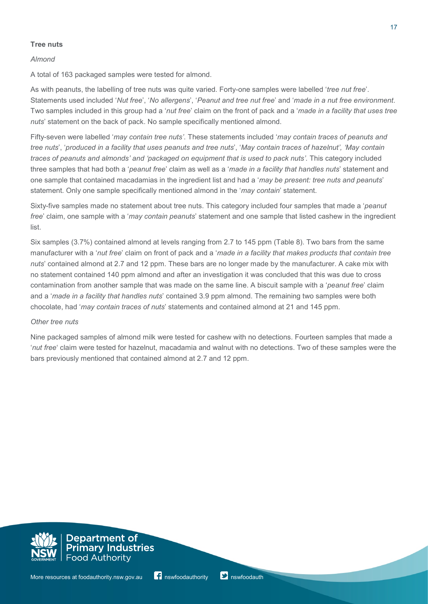## **Tree nuts**

## *Almond*

A total of 163 packaged samples were tested for almond.

As with peanuts, the labelling of tree nuts was quite varied. Forty-one samples were labelled '*tree nut free*'. Statements used included '*Nut free*', '*No allergens*', '*Peanut and tree nut free*' and '*made in a nut free environment*. Two samples included in this group had a '*nut free*' claim on the front of pack and a '*made in a facility that uses tree nuts*' statement on the back of pack. No sample specifically mentioned almond.

Fifty-seven were labelled '*may contain tree nuts'*. These statements included '*may contain traces of peanuts and tree nuts*', '*produced in a facility that uses peanuts and tree nuts*', '*May contain traces of hazelnut', 'May contain traces of peanuts and almonds' and 'packaged on equipment that is used to pack nuts'*. This category included three samples that had both a '*peanut free*' claim as well as a '*made in a facility that handles nuts*' statement and one sample that contained macadamias in the ingredient list and had a '*may be present: tree nuts and peanuts*' statement. Only one sample specifically mentioned almond in the '*may contain*' statement.

Sixty-five samples made no statement about tree nuts. This category included four samples that made a '*peanut free*' claim, one sample with a '*may contain peanuts*' statement and one sample that listed cashew in the ingredient list.

Six samples (3.7%) contained almond at levels ranging from 2.7 to 145 ppm (Table 8). Two bars from the same manufacturer with a '*nut free*' claim on front of pack and a '*made in a facility that makes products that contain tree nuts*' contained almond at 2.7 and 12 ppm. These bars are no longer made by the manufacturer. A cake mix with no statement contained 140 ppm almond and after an investigation it was concluded that this was due to cross contamination from another sample that was made on the same line. A biscuit sample with a '*peanut free*' claim and a '*made in a facility that handles nuts*' contained 3.9 ppm almond. The remaining two samples were both chocolate, had '*may contain traces of nuts*' statements and contained almond at 21 and 145 ppm.

## *Other tree nuts*

Nine packaged samples of almond milk were tested for cashew with no detections. Fourteen samples that made a '*nut free*' claim were tested for hazelnut, macadamia and walnut with no detections. Two of these samples were the bars previously mentioned that contained almond at 2.7 and 12 ppm.

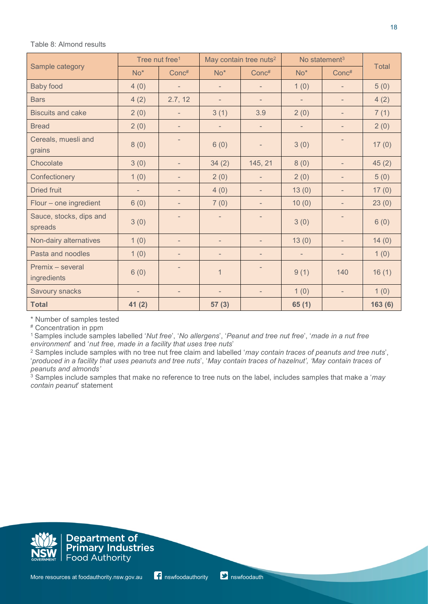#### Table 8: Almond results

|                                    | Tree nut free <sup>1</sup> |                          | May contain tree nuts <sup>2</sup><br>No statement <sup>3</sup> |                          |                          |                          |              |  |
|------------------------------------|----------------------------|--------------------------|-----------------------------------------------------------------|--------------------------|--------------------------|--------------------------|--------------|--|
| Sample category                    | $No*$                      | Conc#                    | $No*$                                                           | Conc#                    | $No*$                    | Conc#                    | <b>Total</b> |  |
| <b>Baby food</b>                   | 4(0)                       | $\overline{\phantom{a}}$ | $\overline{\phantom{a}}$                                        | -                        | 1(0)                     | $\overline{\phantom{a}}$ | 5(0)         |  |
| <b>Bars</b>                        | 4(2)                       | 2.7, 12                  | $\overline{\phantom{a}}$                                        | $\overline{\phantom{0}}$ | $\overline{\phantom{a}}$ | $\overline{\phantom{0}}$ | 4(2)         |  |
| <b>Biscuits and cake</b>           | 2(0)                       | $\qquad \qquad -$        | 3(1)                                                            | 3.9                      | 2(0)                     | $\overline{\phantom{0}}$ | 7(1)         |  |
| <b>Bread</b>                       | 2(0)                       | $\overline{\phantom{0}}$ | $\qquad \qquad =$                                               | $\qquad \qquad =$        | $\overline{\phantom{a}}$ |                          | 2(0)         |  |
| Cereals, muesli and<br>grains      | 8(0)                       |                          | 6(0)                                                            | $\overline{\phantom{0}}$ | 3(0)                     |                          | 17(0)        |  |
| Chocolate                          | 3(0)                       | $\overline{\phantom{0}}$ | 34(2)                                                           | 145, 21                  | 8(0)                     | -                        | 45(2)        |  |
| Confectionery                      | 1(0)                       | $\overline{\phantom{0}}$ | 2(0)                                                            | $\overline{\phantom{0}}$ | 2(0)                     | -                        | 5(0)         |  |
| <b>Dried fruit</b>                 | $\overline{\phantom{a}}$   | $\overline{\phantom{0}}$ | 4(0)                                                            | $\overline{\phantom{m}}$ | 13(0)                    | $\overline{\phantom{0}}$ | 17(0)        |  |
| Flour - one ingredient             | 6(0)                       | $\overline{\phantom{0}}$ | 7(0)                                                            | -                        | 10(0)                    |                          | 23(0)        |  |
| Sauce, stocks, dips and<br>spreads | 3(0)                       | $\overline{\phantom{0}}$ | $\overline{\phantom{a}}$                                        | $\qquad \qquad =$        | 3(0)                     | -                        | 6(0)         |  |
| Non-dairy alternatives             | 1(0)                       | $\overline{\phantom{0}}$ | $\overline{\phantom{a}}$                                        | $\overline{\phantom{m}}$ | 13(0)                    | Ξ.                       | 14(0)        |  |
| Pasta and noodles                  | 1(0)                       | $\overline{\phantom{m}}$ | $\overline{\phantom{a}}$                                        | $\overline{\phantom{0}}$ | $\overline{\phantom{a}}$ | Ξ.                       | 1(0)         |  |
| Premix - several<br>ingredients    | 6(0)                       | -                        | 1                                                               | ٠                        | 9(1)                     | 140                      | 16(1)        |  |
| Savoury snacks                     | $\overline{\phantom{m}}$   | $\overline{\phantom{m}}$ | $\qquad \qquad =$                                               | $\overline{\phantom{0}}$ | 1(0)                     | $\overline{\phantom{a}}$ | 1(0)         |  |
| <b>Total</b>                       | 41(2)                      |                          | 57(3)                                                           |                          | 65(1)                    |                          | 163(6)       |  |

\* Number of samples tested

# Concentration in ppm

1 Samples include samples labelled '*Nut free*', '*No allergens*', '*Peanut and tree nut free*', '*made in a nut free environment*' and '*nut free, made in a facility that uses tree nuts*'

<sup>2</sup> Samples include samples with no tree nut free claim and labelled '*may contain traces of peanuts and tree nuts*', '*produced in a facility that uses peanuts and tree nuts*', '*May contain traces of hazelnut', 'May contain traces of peanuts and almonds'*

<sup>3</sup> Samples include samples that make no reference to tree nuts on the label, includes samples that make a '*may contain peanut*' statement



**Department of<br>Primary Industries Food Authority** 

18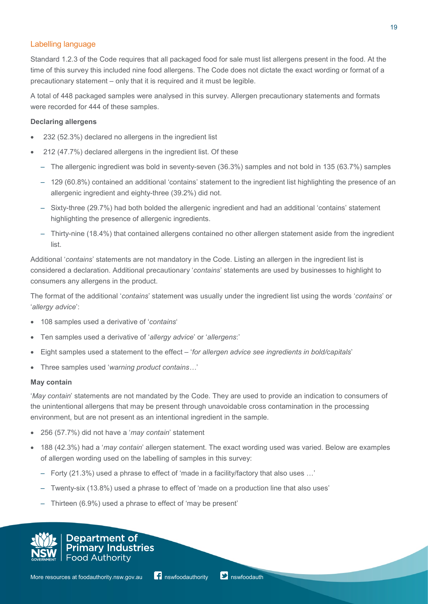## Labelling language

Standard 1.2.3 of the Code requires that all packaged food for sale must list allergens present in the food. At the time of this survey this included nine food allergens. The Code does not dictate the exact wording or format of a precautionary statement – only that it is required and it must be legible.

A total of 448 packaged samples were analysed in this survey. Allergen precautionary statements and formats were recorded for 444 of these samples.

#### **Declaring allergens**

- 232 (52.3%) declared no allergens in the ingredient list
- 212 (47.7%) declared allergens in the ingredient list. Of these
	- The allergenic ingredient was bold in seventy-seven (36.3%) samples and not bold in 135 (63.7%) samples
	- 129 (60.8%) contained an additional 'contains' statement to the ingredient list highlighting the presence of an allergenic ingredient and eighty-three (39.2%) did not.
	- Sixty-three (29.7%) had both bolded the allergenic ingredient and had an additional 'contains' statement highlighting the presence of allergenic ingredients.
	- Thirty-nine (18.4%) that contained allergens contained no other allergen statement aside from the ingredient list.

Additional '*contains*' statements are not mandatory in the Code. Listing an allergen in the ingredient list is considered a declaration. Additional precautionary '*contains*' statements are used by businesses to highlight to consumers any allergens in the product.

The format of the additional '*contains*' statement was usually under the ingredient list using the words '*contains*' or '*allergy advice*':

- 108 samples used a derivative of '*contains*'
- Ten samples used a derivative of '*allergy advice*' or '*allergens*:'
- Eight samples used a statement to the effect '*for allergen advice see ingredients in bold/capitals*'
- Three samples used '*warning product contains…*'

#### **May contain**

'*May contain*' statements are not mandated by the Code. They are used to provide an indication to consumers of the unintentional allergens that may be present through unavoidable cross contamination in the processing environment, but are not present as an intentional ingredient in the sample.

- 256 (57.7%) did not have a '*may contain*' statement
- 188 (42.3%) had a '*may contain*' allergen statement. The exact wording used was varied. Below are examples of allergen wording used on the labelling of samples in this survey:
	- Forty (21.3%) used a phrase to effect of 'made in a facility/factory that also uses …'
	- Twenty-six (13.8%) used a phrase to effect of 'made on a production line that also uses'
	- Thirteen (6.9%) used a phrase to effect of 'may be present'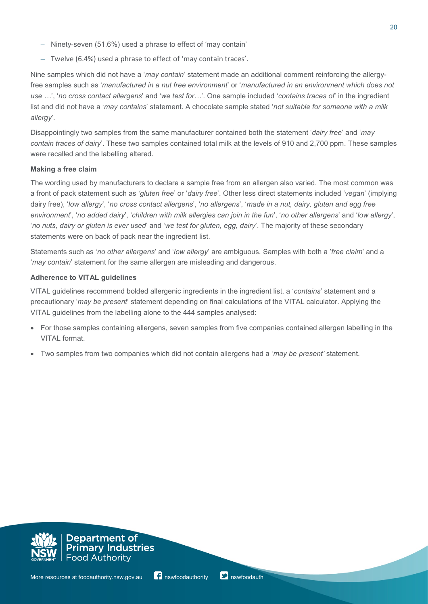- Ninety-seven (51.6%) used a phrase to effect of 'may contain'
- Twelve (6.4%) used a phrase to effect of 'may contain traces'.

Nine samples which did not have a '*may contain*' statement made an additional comment reinforcing the allergyfree samples such as '*manufactured in a nut free environment*' or '*manufactured in an environment which does not use …*', '*no cross contact allergens*' and '*we test for…*'. One sample included '*contains traces of*' in the ingredient list and did not have a '*may contains*' statement. A chocolate sample stated '*not suitable for someone with a milk allergy*'.

Disappointingly two samples from the same manufacturer contained both the statement '*dairy free*' and '*may contain traces of dairy*'. These two samples contained total milk at the levels of 910 and 2,700 ppm. These samples were recalled and the labelling altered.

## **Making a free claim**

The wording used by manufacturers to declare a sample free from an allergen also varied. The most common was a front of pack statement such as *'gluten free*' or '*dairy free*'. Other less direct statements included '*vegan*' (implying dairy free), '*low allergy*', '*no cross contact allergens*', '*no allergens*', '*made in a nut, dairy, gluten and egg free environment*', '*no added dairy*', '*children with milk allergies can join in the fun*', '*no other allergens*' and '*low allergy*', '*no nuts, dairy or gluten is ever used*' and '*we test for gluten, egg, dairy*'. The majority of these secondary statements were on back of pack near the ingredient list.

Statements such as '*no other allergens*' and '*low allergy*' are ambiguous. Samples with both a '*free claim*' and a '*may contain*' statement for the same allergen are misleading and dangerous.

## **Adherence to VITAL guidelines**

VITAL guidelines recommend bolded allergenic ingredients in the ingredient list, a '*contains*' statement and a precautionary '*may be present*' statement depending on final calculations of the VITAL calculator. Applying the VITAL guidelines from the labelling alone to the 444 samples analysed:

- For those samples containing allergens, seven samples from five companies contained allergen labelling in the VITAL format.
- Two samples from two companies which did not contain allergens had a '*may be present'* statement.

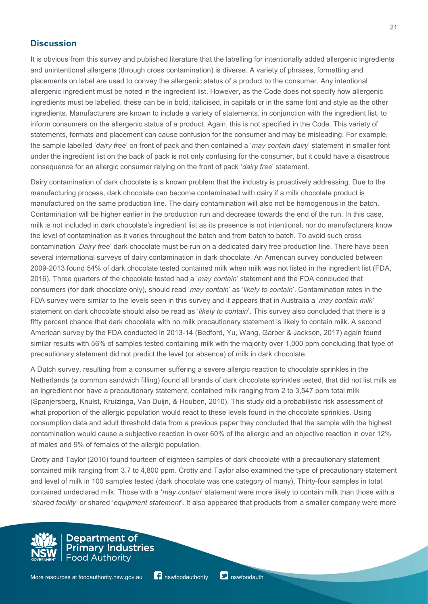# **Discussion**

It is obvious from this survey and published literature that the labelling for intentionally added allergenic ingredients and unintentional allergens (through cross contamination) is diverse. A variety of phrases, formatting and placements on label are used to convey the allergenic status of a product to the consumer. Any intentional allergenic ingredient must be noted in the ingredient list. However, as the Code does not specify how allergenic ingredients must be labelled, these can be in bold, italicised, in capitals or in the same font and style as the other ingredients. Manufacturers are known to include a variety of statements, in conjunction with the ingredient list, to inform consumers on the allergenic status of a product. Again, this is not specified in the Code. This variety of statements, formats and placement can cause confusion for the consumer and may be misleading. For example, the sample labelled '*dairy free*' on front of pack and then contained a '*may contain dairy*' statement in smaller font under the ingredient list on the back of pack is not only confusing for the consumer, but it could have a disastrous consequence for an allergic consumer relying on the front of pack '*dairy free*' statement.

Dairy contamination of dark chocolate is a known problem that the industry is proactively addressing. Due to the manufacturing process, dark chocolate can become contaminated with dairy if a milk chocolate product is manufactured on the same production line. The dairy contamination will also not be homogenous in the batch. Contamination will be higher earlier in the production run and decrease towards the end of the run. In this case, milk is not included in dark chocolate's ingredient list as its presence is not intentional, nor do manufacturers know the level of contamination as it varies throughout the batch and from batch to batch. To avoid such cross contamination '*Dairy free*' dark chocolate must be run on a dedicated dairy free production line. There have been several international surveys of dairy contamination in dark chocolate. An American survey conducted between 2009-2013 found 54% of dark chocolate tested contained milk when milk was not listed in the ingredient list (FDA, 2016). Three quarters of the chocolate tested had a '*may contain*' statement and the FDA concluded that consumers (for dark chocolate only), should read '*may contain*' as '*likely to contain*'. Contamination rates in the FDA survey were similar to the levels seen in this survey and it appears that in Australia a '*may contain milk*' statement on dark chocolate should also be read as '*likely to contain*'. This survey also concluded that there is a fifty percent chance that dark chocolate with no milk precautionary statement is likely to contain milk. A second American survey by the FDA conducted in 2013-14 (Bedford, Yu, Wang, Garber & Jackson, 2017) again found similar results with 56% of samples tested containing milk with the majority over 1,000 ppm concluding that type of precautionary statement did not predict the level (or absence) of milk in dark chocolate.

A Dutch survey, resulting from a consumer suffering a severe allergic reaction to chocolate sprinkles in the Netherlands (a common sandwich filling) found all brands of dark chocolate sprinkles tested, that did not list milk as an ingredient nor have a precautionary statement, contained milk ranging from 2 to 3,547 ppm total milk (Spanjersberg, Knulst, Kruizinga, Van Duijn, & Houben, 2010). This study did a probabilistic risk assessment of what proportion of the allergic population would react to these levels found in the chocolate sprinkles. Using consumption data and adult threshold data from a previous paper they concluded that the sample with the highest contamination would cause a subjective reaction in over 60% of the allergic and an objective reaction in over 12% of males and 9% of females of the allergic population.

Crotty and Taylor (2010) found fourteen of eighteen samples of dark chocolate with a precautionary statement contained milk ranging from 3.7 to 4,800 ppm. Crotty and Taylor also examined the type of precautionary statement and level of milk in 100 samples tested (dark chocolate was one category of many). Thirty-four samples in total contained undeclared milk. Those with a '*may contain*' statement were more likely to contain milk than those with a '*shared facility*' or shared '*equipment statement*'. It also appeared that products from a smaller company were more

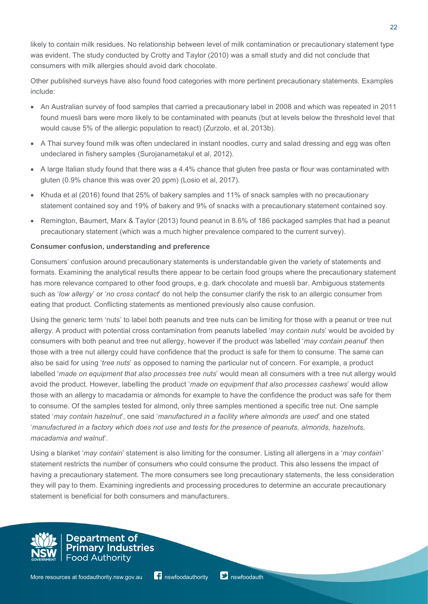likely to contain milk residues. No relationship between level of milk contamination or precautionary statement type was evident. The study conducted by Crotty and Taylor (2010) was a small study and did not conclude that consumers with milk allergies should avoid dark chocolate.

Other published surveys have also found food categories with more pertinent precautionary statements. Examples include:

- An Australian survey of food samples that carried a precautionary label in 2008 and which was repeated in 2011 found muesli bars were more likely to be contaminated with peanuts (but at levels below the threshold level that would cause 5% of the allergic population to react) (Zurzolo, et al, 2013b).
- A Thai survey found milk was often undeclared in instant noodles, curry and salad dressing and egg was often undeclared in fishery samples (Surojanametakul et al, 2012).
- A large Italian study found that there was a 4.4% chance that gluten free pasta or flour was contaminated with gluten (0.9% chance this was over 20 ppm) (Losio et al, 2017).
- Khuda et al (2016) found that 25% of bakery samples and 11% of snack samples with no precautionary statement contained soy and 19% of bakery and 9% of snacks with a precautionary statement contained soy.
- Remington, Baumert, Marx & Taylor (2013) found peanut in 8.6% of 186 packaged samples that had a peanut precautionary statement (which was a much higher prevalence compared to the current survey).

## **Consumer confusion, understanding and preference**

Consumers' confusion around precautionary statements is understandable given the variety of statements and formats. Examining the analytical results there appear to be certain food groups where the precautionary statement has more relevance compared to other food groups, e.g. dark chocolate and muesli bar. Ambiguous statements such as '*low allergy*' or '*no cross contact*' do not help the consumer clarify the risk to an allergic consumer from eating that product. Conflicting statements as mentioned previously also cause confusion.

Using the generic term 'nuts' to label both peanuts and tree nuts can be limiting for those with a peanut or tree nut allergy. A product with potential cross contamination from peanuts labelled '*may contain nuts*' would be avoided by consumers with both peanut and tree nut allergy, however if the product was labelled '*may contain peanut*' then those with a tree nut allergy could have confidence that the product is safe for them to consume. The same can also be said for using '*tree nuts*' as opposed to naming the particular nut of concern. For example, a product labelled '*made on equipment that also processes tree nuts*' would mean all consumers with a tree nut allergy would avoid the product. However, labelling the product '*made on equipment that also processes cashews*' would allow those with an allergy to macadamia or almonds for example to have the confidence the product was safe for them to consume. Of the samples tested for almond, only three samples mentioned a specific tree nut. One sample stated '*may contain hazelnut*', one said '*manufactured in a facility where almonds are used*' and one stated '*manufactured in a factory which does not use and tests for the presence of peanuts, almonds, hazelnuts, macadamia and walnut*'*.*

Using a blanket '*may contain*' statement is also limiting for the consumer. Listing all allergens in a '*may contain'* statement restricts the number of consumers who could consume the product. This also lessens the impact of having a precautionary statement. The more consumers see long precautionary statements, the less consideration they will pay to them. Examining ingredients and processing procedures to determine an accurate precautionary statement is beneficial for both consumers and manufacturers.

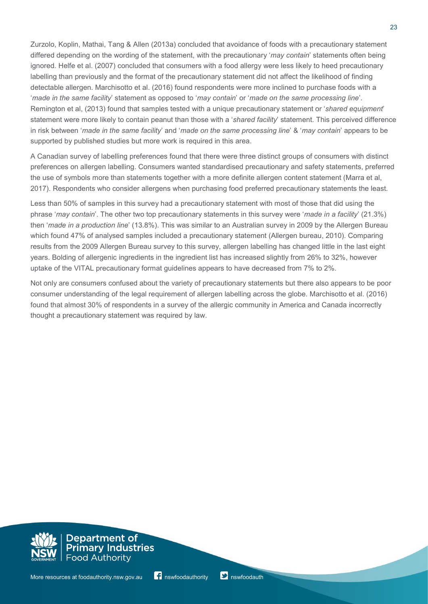Zurzolo, Koplin, Mathai, Tang & Allen (2013a) concluded that avoidance of foods with a precautionary statement differed depending on the wording of the statement, with the precautionary '*may contain*' statements often being ignored. Helfe et al. (2007) concluded that consumers with a food allergy were less likely to heed precautionary labelling than previously and the format of the precautionary statement did not affect the likelihood of finding detectable allergen. Marchisotto et al. (2016) found respondents were more inclined to purchase foods with a '*made in the same facility*' statement as opposed to '*may contain*' or '*made on the same processing line*'. Remington et al, (2013) found that samples tested with a unique precautionary statement or '*shared equipment*' statement were more likely to contain peanut than those with a '*shared facility*' statement. This perceived difference in risk between '*made in the same facility*' and '*made on the same processing line*' & '*may contain*' appears to be supported by published studies but more work is required in this area.

A Canadian survey of labelling preferences found that there were three distinct groups of consumers with distinct preferences on allergen labelling. Consumers wanted standardised precautionary and safety statements, preferred the use of symbols more than statements together with a more definite allergen content statement (Marra et al, 2017). Respondents who consider allergens when purchasing food preferred precautionary statements the least.

Less than 50% of samples in this survey had a precautionary statement with most of those that did using the phrase '*may contain*'. The other two top precautionary statements in this survey were '*made in a facility*' (21.3%) then '*made in a production line*' (13.8%). This was similar to an Australian survey in 2009 by the Allergen Bureau which found 47% of analysed samples included a precautionary statement (Allergen bureau, 2010). Comparing results from the 2009 Allergen Bureau survey to this survey, allergen labelling has changed little in the last eight years. Bolding of allergenic ingredients in the ingredient list has increased slightly from 26% to 32%, however uptake of the VITAL precautionary format guidelines appears to have decreased from 7% to 2%.

Not only are consumers confused about the variety of precautionary statements but there also appears to be poor consumer understanding of the legal requirement of allergen labelling across the globe. Marchisotto et al. (2016) found that almost 30% of respondents in a survey of the allergic community in America and Canada incorrectly thought a precautionary statement was required by law.

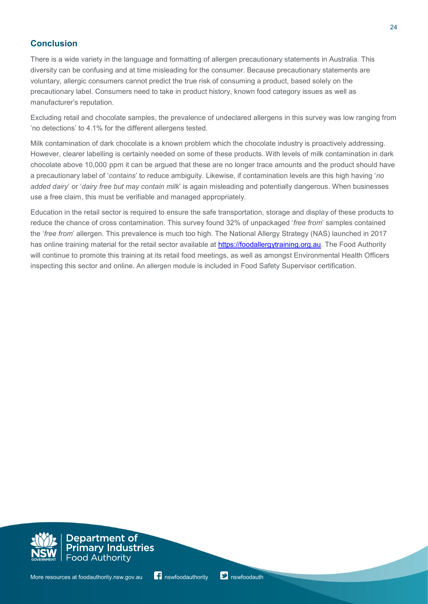# **Conclusion**

There is a wide variety in the language and formatting of allergen precautionary statements in Australia. This diversity can be confusing and at time misleading for the consumer. Because precautionary statements are voluntary, allergic consumers cannot predict the true risk of consuming a product, based solely on the precautionary label. Consumers need to take in product history, known food category issues as well as manufacturer's reputation.

Excluding retail and chocolate samples, the prevalence of undeclared allergens in this survey was low ranging from 'no detections' to 4.1% for the different allergens tested.

Milk contamination of dark chocolate is a known problem which the chocolate industry is proactively addressing. However, clearer labelling is certainly needed on some of these products. With levels of milk contamination in dark chocolate above 10,000 ppm it can be argued that these are no longer trace amounts and the product should have a precautionary label of '*contains*' to reduce ambiguity. Likewise, if contamination levels are this high having '*no added dairy*' or '*dairy free but may contain milk*' is again misleading and potentially dangerous. When businesses use a free claim, this must be verifiable and managed appropriately.

Education in the retail sector is required to ensure the safe transportation, storage and display of these products to reduce the chance of cross contamination. This survey found 32% of unpackaged '*free from*' samples contained the '*free from*' allergen. This prevalence is much too high. The National Allergy Strategy (NAS) launched in 2017 has online training material for the retail sector available at [https://foodallergytraining.org.au.](https://foodallergytraining.org.au/) The Food Authority will continue to promote this training at its retail food meetings, as well as amongst Environmental Health Officers inspecting this sector and online. An allergen module is included in Food Safety Supervisor certification.

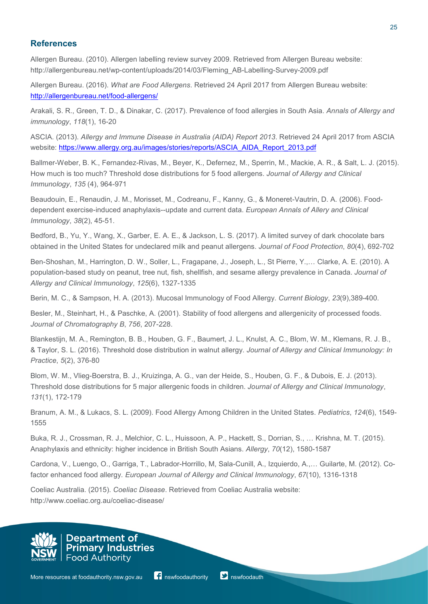## **References**

Allergen Bureau. (2010). Allergen labelling review survey 2009. Retrieved from Allergen Bureau website: http://allergenbureau.net/wp-content/uploads/2014/03/Fleming\_AB-Labelling-Survey-2009.pdf

Allergen Bureau. (2016). *What are Food Allergens*. Retrieved 24 April 2017 from Allergen Bureau website: <http://allergenbureau.net/food-allergens/>

Arakali, S. R., Green, T. D., & Dinakar, C. (2017). Prevalence of food allergies in South Asia. *Annals of Allergy and immunology*, *118*(1), 16-20

ASCIA. (2013). *Allergy and Immune Disease in Australia (AIDA) Report 2013*. Retrieved 24 April 2017 from ASCIA website: [https://www.allergy.org.au/images/stories/reports/ASCIA\\_AIDA\\_Report\\_2013.pdf](https://www.allergy.org.au/images/stories/reports/ASCIA_AIDA_Report_2013.pdf)

Ballmer-Weber, B. K., Fernandez-Rivas, M., Beyer, K., Defernez, M., Sperrin, M., Mackie, A. R., & Salt, L. J. (2015). How much is too much? Threshold dose distributions for 5 food allergens. *Journal of Allergy and Clinical Immunology*, *135* (4), 964-971

Beaudouin, E., Renaudin, J. M., Morisset, M., Codreanu, F., Kanny, G., & Moneret-Vautrin, D. A. (2006). Fooddependent exercise-induced anaphylaxis--update and current data. *European Annals of Allery and Clinical Immunology*, *38*(2), 45-51.

Bedford, B., Yu, Y., Wang, X., Garber, E. A. E., & Jackson, L. S. (2017). A limited survey of dark chocolate bars obtained in the United States for undeclared milk and peanut allergens. *Journal of Food Protection*, *80*(4), 692-702

Ben-Shoshan, M., Harrington, D. W., Soller, L., Fragapane, J., Joseph, L., St Pierre, Y.,… Clarke, A. E. (2010). A population-based study on peanut, tree nut, fish, shellfish, and sesame allergy prevalence in Canada. *Journal of Allergy and Clinical Immunology*, *125*(6), 1327-1335

Berin, M. C., & Sampson, H. A. (2013). Mucosal Immunology of Food Allergy. *Current Biology*, *23*(9),389-400.

Besler, M., Steinhart, H., & Paschke, A. (2001). Stability of food allergens and allergenicity of processed foods. *Journal of Chromatography B*, *756*, 207-228.

Blankestijn, M. A., Remington, B. B., Houben, G. F., Baumert, J. L., Knulst, A. C., Blom, W. M., Klemans, R. J. B., & Taylor, S. L. (2016). Threshold dose distribution in walnut allergy. *Journal of Allergy and Clinical Immunology: In Practice*, *5*(2), 376-80

Blom, W. M., Vlieg-Boerstra, B. J., Kruizinga, A. G., van der Heide, S., Houben, G. F., & Dubois, E. J. (2013). Threshold dose distributions for 5 major allergenic foods in children. *Journal of Allergy and Clinical Immunology*, *131*(1), 172-179

Branum, A. M., & Lukacs, S. L. (2009). Food Allergy Among Children in the United States. *Pediatrics*, *124*(6), 1549- 1555

Buka, R. J., Crossman, R. J., Melchior, C. L., Huissoon, A. P., Hackett, S., Dorrian, S., … Krishna, M. T. (2015). Anaphylaxis and ethnicity: higher incidence in British South Asians. *Allergy*, *70*(12), 1580-1587

Cardona, V., Luengo, O., Garriga, T., Labrador-Horrillo, M, Sala-Cunill, A., Izquierdo, A.,… Guilarte, M. (2012). Cofactor enhanced food allergy. *European Journal of Allergy and Clinical Immunology*, *67*(10), 1316-1318

Coeliac Australia. (2015). *Coeliac Disease*. Retrieved from Coeliac Australia website: http://www.coeliac.org.au/coeliac-disease/

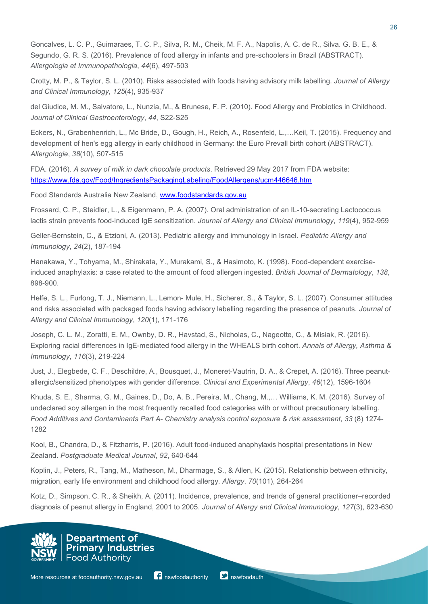Goncalves, L. C. P., Guimaraes, T. C. P., Silva, R. M., Cheik, M. F. A., Napolis, A. C. de R., Silva. G. B. E., & Segundo, G. R. S. (2016). Prevalence of food allergy in infants and pre-schoolers in Brazil (ABSTRACT). *Allergologia et Immunopathologia*, *44*(6), 497-503

Crotty, M. P., & Taylor, S. L. (2010). Risks associated with foods having advisory milk labelling. *Journal of Allergy and Clinical Immunology*, *125*(4), 935-937

del Giudice, M. M., Salvatore, L., Nunzia, M., & Brunese, F. P. (2010). Food Allergy and Probiotics in Childhood. *Journal of Clinical Gastroenterology*, *44*, S22-S25

Eckers, N., Grabenhenrich, L., Mc Bride, D., Gough, H., Reich, A., Rosenfeld, L.,…Keil, T. (2015). Frequency and development of hen's egg allergy in early childhood in Germany: the Euro Prevall birth cohort (ABSTRACT). *Allergologie*, *38*(10), 507-515

FDA. (2016). *A survey of milk in dark chocolate products*. Retrieved 29 May 2017 from FDA website: <https://www.fda.gov/Food/IngredientsPackagingLabeling/FoodAllergens/ucm446646.htm>

Food Standards Australia New Zealand, [www.foodstandards.gov.au](http://www.foodstandards.gov.au/)

Frossard, C. P., Steidler, L., & Eigenmann, P. A. (2007). Oral administration of an IL-10-secreting Lactococcus lactis strain prevents food-induced IgE sensitization. *Journal of Allergy and Clinical Immunology*, *119*(4), 952-959

Geller-Bernstein, C., & Etzioni, A. (2013). Pediatric allergy and immunology in Israel. *Pediatric Allergy and Immunology*, *24*(2), 187-194

Hanakawa, Y., Tohyama, M., Shirakata, Y., Murakami, S., & Hasimoto, K. (1998). Food-dependent exerciseinduced anaphylaxis: a case related to the amount of food allergen ingested. *British Journal of Dermatology*, *138*, 898-900.

Helfe, S. L., Furlong, T. J., Niemann, L., Lemon- Mule, H., Sicherer, S., & Taylor, S. L. (2007). Consumer attitudes and risks associated with packaged foods having advisory labelling regarding the presence of peanuts*. Journal of Allergy and Clinical Immunology*, *120*(1), 171-176

Joseph, C. L. M., Zoratti, E. M., Ownby, D. R., Havstad, S., Nicholas, C., Nageotte, C., & Misiak, R. (2016). Exploring racial differences in IgE-mediated food allergy in the WHEALS birth cohort. *Annals of Allergy, Asthma & Immunology*, *116*(3), 219-224

Just, J., Elegbede, C. F., Deschildre, A., Bousquet, J., Moneret-Vautrin, D. A., & Crepet, A. (2016). Three peanutallergic/sensitized phenotypes with gender difference. *Clinical and Experimental Allergy*, *46*(12), 1596-1604

Khuda, S. E., Sharma, G. M., Gaines, D., Do, A. B., Pereira, M., Chang, M.,… Williams, K. M. (2016). Survey of undeclared soy allergen in the most frequently recalled food categories with or without precautionary labelling. *Food Additives and Contaminants Part A- Chemistry analysis control exposure & risk assessment*, *33* (8) 1274- 1282

Kool, B., Chandra, D., & Fitzharris, P. (2016). Adult food-induced anaphylaxis hospital presentations in New Zealand. *Postgraduate Medical Journal*, *92*, 640-644

Koplin, J., Peters, R., Tang, M., Matheson, M., Dharmage, S., & Allen, K. (2015). Relationship between ethnicity, migration, early life environment and childhood food allergy. *Allergy*, *70*(101), 264-264

Kotz, D., Simpson, C. R., & Sheikh, A. (2011). Incidence, prevalence, and trends of general practitioner–recorded diagnosis of peanut allergy in England, 2001 to 2005. *Journal of Allergy and Clinical Immunology*, *127*(3), 623-630



**Primary Industries Food Authority** 

Department of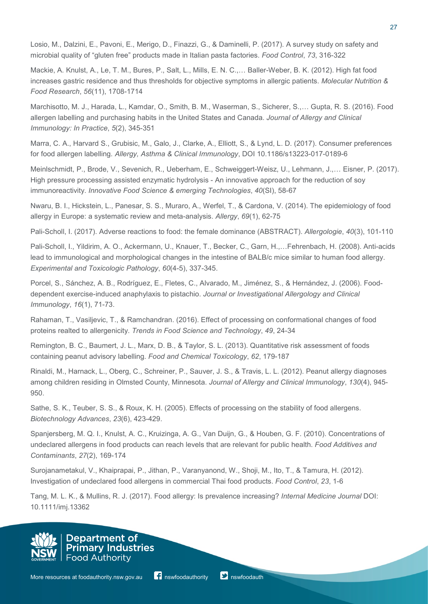Losio, M., Dalzini, E., Pavoni, E., Merigo, D., Finazzi, G., & Daminelli, P. (2017). A survey study on safety and microbial quality of "gluten free" products made in Italian pasta factories. *Food Control*, *73*, 316-322

Mackie, A. Knulst, A., Le, T. M., Bures, P., Salt, L., Mills, E. N. C.,… Baller-Weber, B. K. (2012). High fat food increases gastric residence and thus thresholds for objective symptoms in allergic patients. *Molecular Nutrition & Food Research*, *56*(11), 1708-1714

Marchisotto, M. J., Harada, L., Kamdar, O., Smith, B. M., Waserman, S., Sicherer, S.,… Gupta, R. S. (2016). Food allergen labelling and purchasing habits in the United States and Canada. *Journal of Allergy and Clinical Immunology: In Practice*, *5*(2), 345-351

Marra, C. A., Harvard S., Grubisic, M., Galo, J., Clarke, A., Elliott, S., & Lynd, L. D. (2017). Consumer preferences for food allergen labelling. *Allergy, Asthma & Clinical Immunology*, DOI 10.1186/s13223-017-0189-6

Meinlschmidt, P., Brode, V., Sevenich, R., Ueberham, E., Schweiggert-Weisz, U., Lehmann, J.,… Eisner, P. (2017). High pressure processing assisted enzymatic hydrolysis - An innovative approach for the reduction of soy immunoreactivity. *Innovative Food Science & emerging Technologies*, *40*(SI), 58-67

Nwaru, B. I., Hickstein, L., Panesar, S. S., Muraro, A., Werfel, T., & Cardona, V. (2014). The epidemiology of food allergy in Europe: a systematic review and meta-analysis. *Allergy*, *69*(1), 62-75

Pali-Scholl, I. (2017). Adverse reactions to food: the female dominance (ABSTRACT). *Allergologie*, *40*(3), 101-110

Pali-Scholl, I., Yildirim, A. O., Ackermann, U., Knauer, T., Becker, C., Garn, H.,…Fehrenbach, H. (2008). Anti-acids lead to immunological and morphological changes in the intestine of BALB/c mice similar to human food allergy. *Experimental and Toxicologic Pathology*, *60*(4-5), 337-345.

Porcel, S., Sánchez, A. B., Rodríguez, E., Fletes, C., Alvarado, M., Jiménez, S., & Hernández, J. (2006). Fooddependent exercise-induced anaphylaxis to pistachio. *Journal or Investigational Allergology and Clinical Immunology*, *16*(1), 71-73.

Rahaman, T., Vasiljevic, T., & Ramchandran. (2016). Effect of processing on conformational changes of food proteins realted to allergenicity. *Trends in Food Science and Technology*, *49*, 24-34

Remington, B. C., Baumert, J. L., Marx, D. B., & Taylor, S. L. (2013). Quantitative risk assessment of foods containing peanut advisory labelling. *Food and Chemical Toxicology*, *62*, 179-187

Rinaldi, M., Harnack, L., Oberg, C., Schreiner, P., Sauver, J. S., & Travis, L. L. (2012). Peanut allergy diagnoses among children residing in Olmsted County, Minnesota. *Journal of Allergy and Clinical Immunology*, *130*(4), 945- 950.

Sathe, S. K., Teuber, S. S., & Roux, K. H. (2005). Effects of processing on the stability of food allergens. *Biotechnology Advances*, *23*(6), 423-429.

Spanjersberg, M. Q. I., Knulst, A. C., Kruizinga, A. G., Van Duijn, G., & Houben, G. F. (2010). Concentrations of undeclared allergens in food products can reach levels that are relevant for public health. *Food Additives and Contaminants*, *27*(2), 169-174

Surojanametakul, V., Khaiprapai, P., Jithan, P., Varanyanond, W., Shoji, M., Ito, T., & Tamura, H. (2012). Investigation of undeclared food allergens in commercial Thai food products. *Food Control*, *23*, 1-6

Tang, M. L. K., & Mullins, R. J. (2017). Food allergy: Is prevalence increasing? *Internal Medicine Journal* DOI: 10.1111/imj.13362

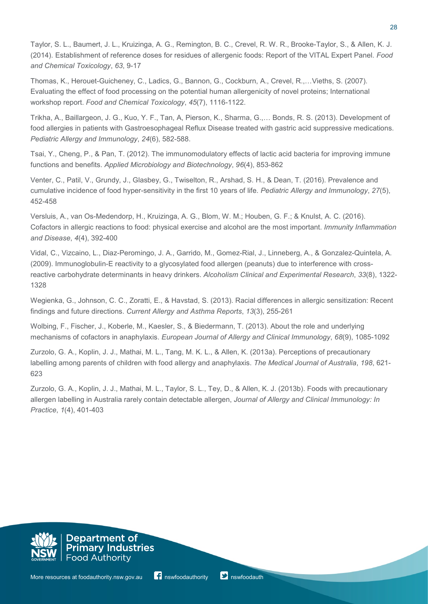Taylor, S. L., Baumert, J. L., Kruizinga, A. G., Remington, B. C., Crevel, R. W. R., Brooke-Taylor, S., & Allen, K. J. (2014). Establishment of reference doses for residues of allergenic foods: Report of the VITAL Expert Panel. *Food and Chemical Toxicology*, *63*, 9-17

Thomas, K., Herouet-Guicheney, C., Ladics, G., Bannon, G., Cockburn, A., Crevel, R.,…Vieths, S. (2007). Evaluating the effect of food processing on the potential human allergenicity of novel proteins; International workshop report. *Food and Chemical Toxicology*, *45*(7), 1116-1122.

Trikha, A., Baillargeon, J. G., Kuo, Y. F., Tan, A, Pierson, K., Sharma, G.,… Bonds, R. S. (2013). Development of food allergies in patients with Gastroesophageal Reflux Disease treated with gastric acid suppressive medications. *Pediatric Allergy and Immunology*, *24*(6), 582-588.

Tsai, Y., Cheng, P., & Pan, T. (2012). The immunomodulatory effects of lactic acid bacteria for improving immune functions and benefits. *Applied Microbiology and Biotechnology*, *96*(4), 853-862

Venter, C., Patil, V., Grundy, J., Glasbey, G., Twiselton, R., Arshad, S. H., & Dean, T. (2016). Prevalence and cumulative incidence of food hyper-sensitivity in the first 10 years of life. *Pediatric Allergy and Immunology*, *27*(5), 452-458

Versluis, A., van Os-Medendorp, H., Kruizinga, A. G., Blom, W. M.; Houben, G. F.; & Knulst, A. C. (2016). Cofactors in allergic reactions to food: physical exercise and alcohol are the most important. *Immunity Inflammation and Disease*, *4*(4), 392-400

Vidal, C., Vizcaino, L., Diaz-Peromingo, J. A., Garrido, M., Gomez-Rial, J., Linneberg, A., & Gonzalez-Quintela, A. (2009). Immunoglobulin-E reactivity to a glycosylated food allergen (peanuts) due to interference with crossreactive carbohydrate determinants in heavy drinkers. *Alcoholism Clinical and Experimental Research*, *33*(8), 1322- 1328

Wegienka, G., Johnson, C. C., Zoratti, E., & Havstad, S. (2013). Racial differences in allergic sensitization: Recent findings and future directions. *Current Allergy and Asthma Reports*, *13*(3), 255-261

Wolbing, F., Fischer, J., Koberle, M., Kaesler, S., & Biedermann, T. (2013). About the role and underlying mechanisms of cofactors in anaphylaxis. *European Journal of Allergy and Clinical Immunology*, *68*(9), 1085-1092

Zurzolo, G. A., Koplin, J. J., Mathai, M. L., Tang, M. K. L., & Allen, K. (2013a). Perceptions of precautionary labelling among parents of children with food allergy and anaphylaxis. *The Medical Journal of Australia*, *198*, 621- 623

Zurzolo, G. A., Koplin, J. J., Mathai, M. L., Taylor, S. L., Tey, D., & Allen, K. J. (2013b). Foods with precautionary allergen labelling in Australia rarely contain detectable allergen, *Journal of Allergy and Clinical Immunology: In Practice*, *1*(4), 401-403